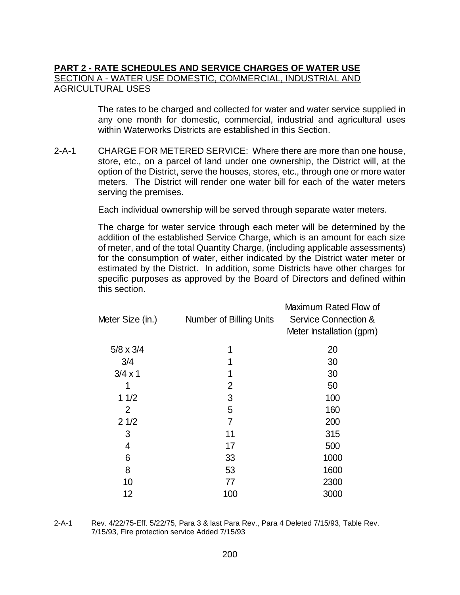# **PART 2 - RATE SCHEDULES AND SERVICE CHARGES OF WATER USE** SECTION A - WATER USE DOMESTIC, COMMERCIAL, INDUSTRIAL AND **AGRICULTURAL USES**

The rates to be charged and collected for water and water service supplied in any one month for domestic, commercial, industrial and agricultural uses within Waterworks Districts are established in this Section.

2-A-1 CHARGE FOR METERED SERVICE: Where there are more than one house, store, etc., on a parcel of land under one ownership, the District will, at the option of the District, serve the houses, stores, etc., through one or more water meters. The District will render one water bill for each of the water meters serving the premises.

Each individual ownership will be served through separate water meters.

The charge for water service through each meter will be determined by the addition of the established Service Charge, which is an amount for each size of meter, and of the total Quantity Charge, (including applicable assessments) for the consumption of water, either indicated by the District water meter or estimated by the District. In addition, some Districts have other charges for specific purposes as approved by the Board of Directors and defined within this section.

| Meter Size (in.) | Number of Billing Units | Maximum Rated Flow of<br><b>Service Connection &amp;</b><br>Meter Installation (gpm) |
|------------------|-------------------------|--------------------------------------------------------------------------------------|
| $5/8 \times 3/4$ | 1                       | 20                                                                                   |
| 3/4              | 1                       | 30                                                                                   |
| $3/4 \times 1$   | 1                       | 30                                                                                   |
|                  | $\overline{2}$          | 50                                                                                   |
| 11/2             | 3                       | 100                                                                                  |
| 2                | 5                       | 160                                                                                  |
| 21/2             | $\overline{7}$          | 200                                                                                  |
| 3                | 11                      | 315                                                                                  |
| 4                | 17                      | 500                                                                                  |
| 6                | 33                      | 1000                                                                                 |
| 8                | 53                      | 1600                                                                                 |
| 10               | 77                      | 2300                                                                                 |
| 12               | 100                     | 3000                                                                                 |
|                  |                         |                                                                                      |

2-A-1 Rev. 4/22/75-Eff. 5/22/75, Para 3 & last Para Rev., Para 4 Deleted 7/15/93, Table Rev. 7/15/93, Fire protection service Added 7/15/93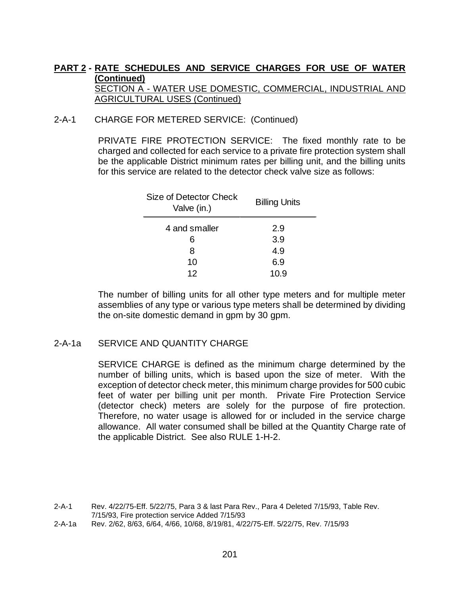#### 2-A-1 CHARGE FOR METERED SERVICE: (Continued)

PRIVATE FIRE PROTECTION SERVICE: The fixed monthly rate to be charged and collected for each service to a private fire protection system shall be the applicable District minimum rates per billing unit, and the billing units for this service are related to the detector check valve size as follows:

| Size of Detector Check<br>Valve (in.) | <b>Billing Units</b> |  |  |  |
|---------------------------------------|----------------------|--|--|--|
| 4 and smaller                         | 2.9                  |  |  |  |
| 6                                     | 3.9                  |  |  |  |
| 8                                     | 4.9                  |  |  |  |
| 10                                    | 6.9                  |  |  |  |
| 12                                    | 10.9                 |  |  |  |

The number of billing units for all other type meters and for multiple meter assemblies of any type or various type meters shall be determined by dividing the on-site domestic demand in gpm by 30 gpm.

#### 2-A-1a SERVICE AND QUANTITY CHARGE

SERVICE CHARGE is defined as the minimum charge determined by the number of billing units, which is based upon the size of meter. With the exception of detector check meter, this minimum charge provides for 500 cubic feet of water per billing unit per month. Private Fire Protection Service (detector check) meters are solely for the purpose of fire protection. Therefore, no water usage is allowed for or included in the service charge allowance. All water consumed shall be billed at the Quantity Charge rate of the applicable District. See also RULE 1-H-2.

<sup>2-</sup>A-1 Rev. 4/22/75-Eff. 5/22/75, Para 3 & last Para Rev., Para 4 Deleted 7/15/93, Table Rev. 7/15/93, Fire protection service Added 7/15/93

<sup>2-</sup>A-1a Rev. 2/62, 8/63, 6/64, 4/66, 10/68, 8/19/81, 4/22/75-Eff. 5/22/75, Rev. 7/15/93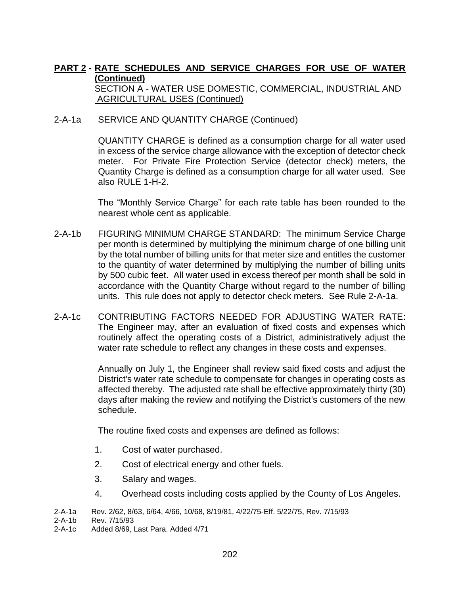#### 2-A-1a SERVICE AND QUANTITY CHARGE (Continued)

QUANTITY CHARGE is defined as a consumption charge for all water used in excess of the service charge allowance with the exception of detector check meter. For Private Fire Protection Service (detector check) meters, the Quantity Charge is defined as a consumption charge for all water used. See also RULE 1-H-2.

The "Monthly Service Charge" for each rate table has been rounded to the nearest whole cent as applicable.

- 2-A-1b FIGURING MINIMUM CHARGE STANDARD: The minimum Service Charge per month is determined by multiplying the minimum charge of one billing unit by the total number of billing units for that meter size and entitles the customer to the quantity of water determined by multiplying the number of billing units by 500 cubic feet. All water used in excess thereof per month shall be sold in accordance with the Quantity Charge without regard to the number of billing units. This rule does not apply to detector check meters. See Rule 2-A-1a.
- 2-A-1c CONTRIBUTING FACTORS NEEDED FOR ADJUSTING WATER RATE: The Engineer may, after an evaluation of fixed costs and expenses which routinely affect the operating costs of a District, administratively adjust the water rate schedule to reflect any changes in these costs and expenses.

Annually on July 1, the Engineer shall review said fixed costs and adjust the District's water rate schedule to compensate for changes in operating costs as affected thereby. The adjusted rate shall be effective approximately thirty (30) days after making the review and notifying the District's customers of the new schedule.

The routine fixed costs and expenses are defined as follows:

- 1. Cost of water purchased.
- 2. Cost of electrical energy and other fuels.
- 3. Salary and wages.
- 4. Overhead costs including costs applied by the County of Los Angeles.

2-A-1c Added 8/69, Last Para. Added 4/71

<sup>2-</sup>A-1a Rev. 2/62, 8/63, 6/64, 4/66, 10/68, 8/19/81, 4/22/75-Eff. 5/22/75, Rev. 7/15/93

Rev. 7/15/93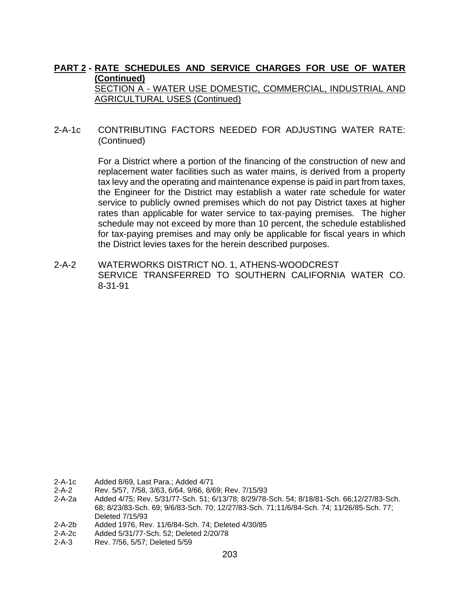#### 2-A-1c CONTRIBUTING FACTORS NEEDED FOR ADJUSTING WATER RATE: (Continued)

For a District where a portion of the financing of the construction of new and replacement water facilities such as water mains, is derived from a property tax levy and the operating and maintenance expense is paid in part from taxes, the Engineer for the District may establish a water rate schedule for water service to publicly owned premises which do not pay District taxes at higher rates than applicable for water service to tax-paying premises. The higher schedule may not exceed by more than 10 percent, the schedule established for tax-paying premises and may only be applicable for fiscal years in which the District levies taxes for the herein described purposes.

2-A-2 WATERWORKS DISTRICT NO. 1, ATHENS-WOODCREST SERVICE TRANSFERRED TO SOUTHERN CALIFORNIA WATER CO. 8-31-91

- 2-A-1c Added 8/69, Last Para.; Added 4/71
- 2-A-2 Rev. 5/57, 7/58, 3/63, 6/64, 9/66, 8/69; Rev. 7/15/93
- 2-A-2a Added 4/75; Rev. 5/31/77-Sch. 51; 6/13/78; 8/29/78-Sch. 54; 8/18/81-Sch. 66;12/27/83-Sch. 68; 8/23/83-Sch. 69; 9/6/83-Sch. 70; 12/27/83-Sch. 71;11/6/84-Sch. 74; 11/26/85-Sch. 77; Deleted 7/15/93
- 2-A-2b Added 1976, Rev. 11/6/84-Sch. 74; Deleted 4/30/85
- 2-A-2c Added 5/31/77-Sch. 52; Deleted 2/20/78
- 2-A-3 Rev. 7/56, 5/57; Deleted 5/59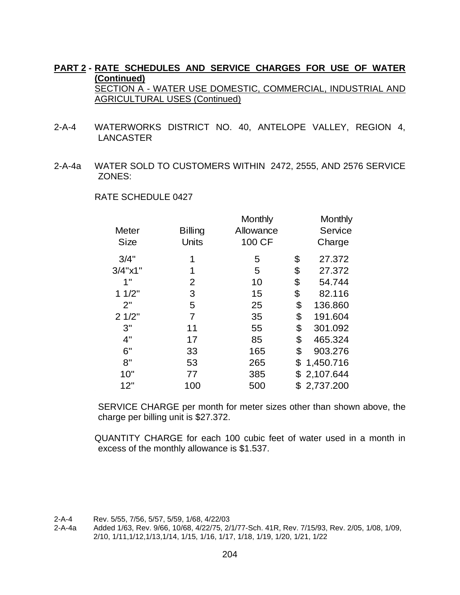- 2-A-4 WATERWORKS DISTRICT NO. 40, ANTELOPE VALLEY, REGION 4, LANCASTER
- 2-A-4a WATER SOLD TO CUSTOMERS WITHIN 2472, 2555, AND 2576 SERVICE ZONES:

| <b>Meter</b><br><b>Size</b> | <b>Billing</b><br><b>Units</b> | Monthly<br>Allowance<br>100 CF | Monthly<br>Service<br>Charge |
|-----------------------------|--------------------------------|--------------------------------|------------------------------|
| 3/4"                        | 1                              | 5                              | \$<br>27.372                 |
| 3/4"x1"                     | 1                              | 5                              | \$<br>27.372                 |
| 1"                          | 2                              | 10                             | \$<br>54.744                 |
| 11/2"                       | 3                              | 15                             | \$<br>82.116                 |
| 2"                          | 5                              | 25                             | \$<br>136.860                |
| 21/2"                       | 7                              | 35                             | \$<br>191.604                |
| 3"                          | 11                             | 55                             | \$<br>301.092                |
| 4"                          | 17                             | 85                             | \$<br>465.324                |
| 6"                          | 33                             | 165                            | \$<br>903.276                |
| 8"                          | 53                             | 265                            | \$<br>1,450.716              |
| 10"                         | 77                             | 385                            | \$<br>2,107.644              |
| 12"                         | 100                            | 500                            | 2,737.200                    |

RATE SCHEDULE 0427

SERVICE CHARGE per month for meter sizes other than shown above, the charge per billing unit is \$27.372.

QUANTITY CHARGE for each 100 cubic feet of water used in a month in excess of the monthly allowance is \$1.537.

<sup>2-</sup>A-4 Rev. 5/55, 7/56, 5/57, 5/59, 1/68, 4/22/03

<sup>2-</sup>A-4a Added 1/63, Rev. 9/66, 10/68, 4/22/75, 2/1/77-Sch. 41R, Rev. 7/15/93, Rev. 2/05, 1/08, 1/09, 2/10, 1/11,1/12,1/13,1/14, 1/15, 1/16, 1/17, 1/18, 1/19, 1/20, 1/21, 1/22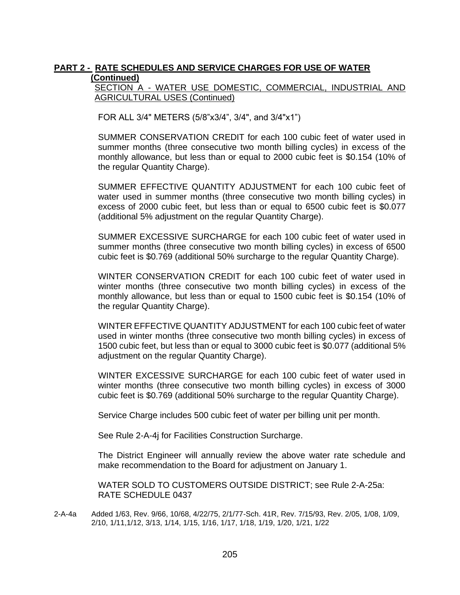SECTION A - WATER USE DOMESTIC, COMMERCIAL, INDUSTRIAL AND AGRICULTURAL USES (Continued)

FOR ALL 3/4" METERS (5/8"x3/4", 3/4", and 3/4"x1")

SUMMER CONSERVATION CREDIT for each 100 cubic feet of water used in summer months (three consecutive two month billing cycles) in excess of the monthly allowance, but less than or equal to 2000 cubic feet is \$0.154 (10% of the regular Quantity Charge).

SUMMER EFFECTIVE QUANTITY ADJUSTMENT for each 100 cubic feet of water used in summer months (three consecutive two month billing cycles) in excess of 2000 cubic feet, but less than or equal to 6500 cubic feet is \$0.077 (additional 5% adjustment on the regular Quantity Charge).

SUMMER EXCESSIVE SURCHARGE for each 100 cubic feet of water used in summer months (three consecutive two month billing cycles) in excess of 6500 cubic feet is \$0.769 (additional 50% surcharge to the regular Quantity Charge).

WINTER CONSERVATION CREDIT for each 100 cubic feet of water used in winter months (three consecutive two month billing cycles) in excess of the monthly allowance, but less than or equal to 1500 cubic feet is \$0.154 (10% of the regular Quantity Charge).

WINTER EFFECTIVE QUANTITY ADJUSTMENT for each 100 cubic feet of water used in winter months (three consecutive two month billing cycles) in excess of 1500 cubic feet, but less than or equal to 3000 cubic feet is \$0.077 (additional 5% adjustment on the regular Quantity Charge).

WINTER EXCESSIVE SURCHARGE for each 100 cubic feet of water used in winter months (three consecutive two month billing cycles) in excess of 3000 cubic feet is \$0.769 (additional 50% surcharge to the regular Quantity Charge).

Service Charge includes 500 cubic feet of water per billing unit per month.

See Rule 2-A-4j for Facilities Construction Surcharge.

The District Engineer will annually review the above water rate schedule and make recommendation to the Board for adjustment on January 1.

WATER SOLD TO CUSTOMERS OUTSIDE DISTRICT; see Rule 2-A-25a: RATE SCHEDULE 0437

2-A-4a Added 1/63, Rev. 9/66, 10/68, 4/22/75, 2/1/77-Sch. 41R, Rev. 7/15/93, Rev. 2/05, 1/08, 1/09, 2/10, 1/11,1/12, 3/13, 1/14, 1/15, 1/16, 1/17, 1/18, 1/19, 1/20, 1/21, 1/22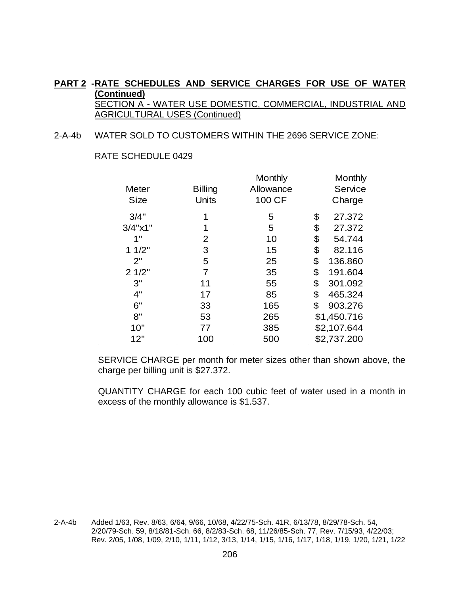#### 2-A-4b WATER SOLD TO CUSTOMERS WITHIN THE 2696 SERVICE ZONE:

|                     |                | Monthly   | Monthly       |
|---------------------|----------------|-----------|---------------|
| Meter               | <b>Billing</b> | Allowance | Service       |
| <b>Size</b>         | Units          | 100 CF    | Charge        |
| 3/4"                |                | 5         | \$<br>27.372  |
| $3/4$ " $\times$ 1" |                | 5         | \$<br>27.372  |
| 1"                  | 2              | 10        | \$<br>54.744  |
| 11/2"               | 3              | 15        | \$<br>82.116  |
| 2"                  | 5              | 25        | \$<br>136.860 |
| 21/2"               | $\overline{7}$ | 35        | \$<br>191.604 |
| 3"                  | 11             | 55        | \$<br>301.092 |
| 4"                  | 17             | 85        | \$<br>465.324 |
| 6"                  | 33             | 165       | \$<br>903.276 |
| 8"                  | 53             | 265       | \$1,450.716   |
| 10"                 | 77             | 385       | \$2,107.644   |
| 12"                 | 100            | 500       | \$2,737.200   |

RATE SCHEDULE 0429

SERVICE CHARGE per month for meter sizes other than shown above, the charge per billing unit is \$27.372.

QUANTITY CHARGE for each 100 cubic feet of water used in a month in excess of the monthly allowance is \$1.537.

2-A-4b Added 1/63, Rev. 8/63, 6/64, 9/66, 10/68, 4/22/75-Sch. 41R, 6/13/78, 8/29/78-Sch. 54, 2/20/79-Sch. 59, 8/18/81-Sch. 66, 8/2/83-Sch. 68, 11/26/85-Sch. 77, Rev. 7/15/93, 4/22/03; Rev. 2/05, 1/08, 1/09, 2/10, 1/11, 1/12, 3/13, 1/14, 1/15, 1/16, 1/17, 1/18, 1/19, 1/20, 1/21, 1/22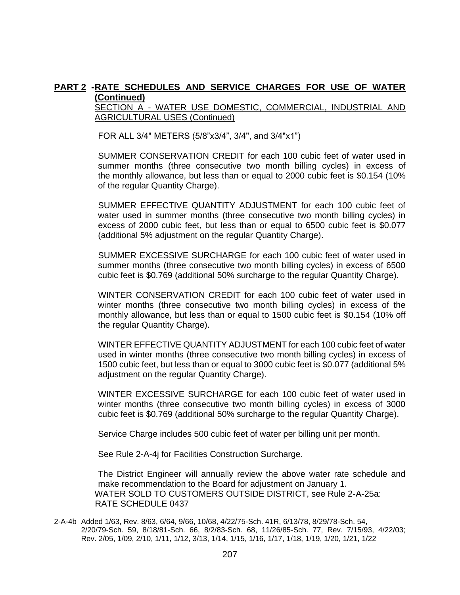SECTION A - WATER USE DOMESTIC, COMMERCIAL, INDUSTRIAL AND AGRICULTURAL USES (Continued)

FOR ALL 3/4" METERS (5/8"x3/4", 3/4", and 3/4"x1")

SUMMER CONSERVATION CREDIT for each 100 cubic feet of water used in summer months (three consecutive two month billing cycles) in excess of the monthly allowance, but less than or equal to 2000 cubic feet is \$0.154 (10% of the regular Quantity Charge).

SUMMER EFFECTIVE QUANTITY ADJUSTMENT for each 100 cubic feet of water used in summer months (three consecutive two month billing cycles) in excess of 2000 cubic feet, but less than or equal to 6500 cubic feet is \$0.077 (additional 5% adjustment on the regular Quantity Charge).

SUMMER EXCESSIVE SURCHARGE for each 100 cubic feet of water used in summer months (three consecutive two month billing cycles) in excess of 6500 cubic feet is \$0.769 (additional 50% surcharge to the regular Quantity Charge).

WINTER CONSERVATION CREDIT for each 100 cubic feet of water used in winter months (three consecutive two month billing cycles) in excess of the monthly allowance, but less than or equal to 1500 cubic feet is \$0.154 (10% off the regular Quantity Charge).

WINTER EFFECTIVE QUANTITY ADJUSTMENT for each 100 cubic feet of water used in winter months (three consecutive two month billing cycles) in excess of 1500 cubic feet, but less than or equal to 3000 cubic feet is \$0.077 (additional 5% adjustment on the regular Quantity Charge).

WINTER EXCESSIVE SURCHARGE for each 100 cubic feet of water used in winter months (three consecutive two month billing cycles) in excess of 3000 cubic feet is \$0.769 (additional 50% surcharge to the regular Quantity Charge).

Service Charge includes 500 cubic feet of water per billing unit per month.

See Rule 2-A-4j for Facilities Construction Surcharge.

The District Engineer will annually review the above water rate schedule and make recommendation to the Board for adjustment on January 1. WATER SOLD TO CUSTOMERS OUTSIDE DISTRICT, see Rule 2-A-25a: RATE SCHEDULE 0437

2-A-4b Added 1/63, Rev. 8/63, 6/64, 9/66, 10/68, 4/22/75-Sch. 41R, 6/13/78, 8/29/78-Sch. 54, 2/20/79-Sch. 59, 8/18/81-Sch. 66, 8/2/83-Sch. 68, 11/26/85-Sch. 77, Rev. 7/15/93, 4/22/03; Rev. 2/05, 1/09, 2/10, 1/11, 1/12, 3/13, 1/14, 1/15, 1/16, 1/17, 1/18, 1/19, 1/20, 1/21, 1/22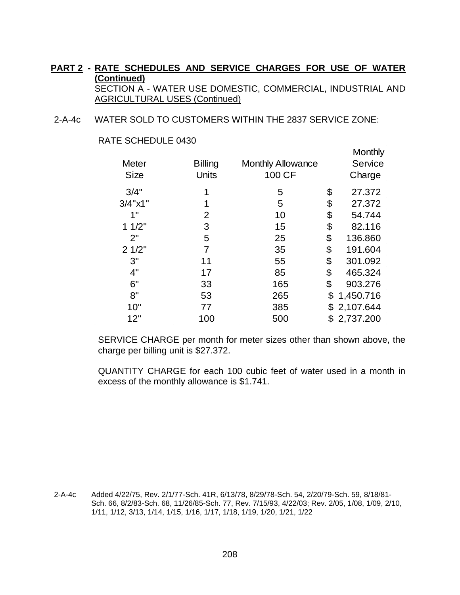2-A-4c WATER SOLD TO CUSTOMERS WITHIN THE 2837 SERVICE ZONE:

|  | RATE SCHEDULE 0430 |  |
|--|--------------------|--|
|--|--------------------|--|

|                |                          | Monthly         |
|----------------|--------------------------|-----------------|
| <b>Billing</b> | <b>Monthly Allowance</b> | Service         |
| <b>Units</b>   | 100 CF                   | Charge          |
| 1              | 5                        | \$<br>27.372    |
| 1              | 5                        | \$<br>27.372    |
| $\overline{2}$ | 10                       | \$<br>54.744    |
| 3              | 15                       | \$<br>82.116    |
| 5              | 25                       | \$<br>136.860   |
| $\overline{7}$ | 35                       | \$<br>191.604   |
| 11             | 55                       | \$<br>301.092   |
| 17             | 85                       | \$<br>465.324   |
| 33             | 165                      | \$<br>903.276   |
| 53             | 265                      | \$<br>1,450.716 |
| 77             | 385                      | \$<br>2,107.644 |
| 100            | 500                      | \$<br>2,737.200 |
|                |                          |                 |

SERVICE CHARGE per month for meter sizes other than shown above, the charge per billing unit is \$27.372.

QUANTITY CHARGE for each 100 cubic feet of water used in a month in excess of the monthly allowance is \$1.741.

2-A-4c Added 4/22/75, Rev. 2/1/77-Sch. 41R, 6/13/78, 8/29/78-Sch. 54, 2/20/79-Sch. 59, 8/18/81- Sch. 66, 8/2/83-Sch. 68, 11/26/85-Sch. 77, Rev. 7/15/93, 4/22/03; Rev. 2/05, 1/08, 1/09, 2/10, 1/11, 1/12, 3/13, 1/14, 1/15, 1/16, 1/17, 1/18, 1/19, 1/20, 1/21, 1/22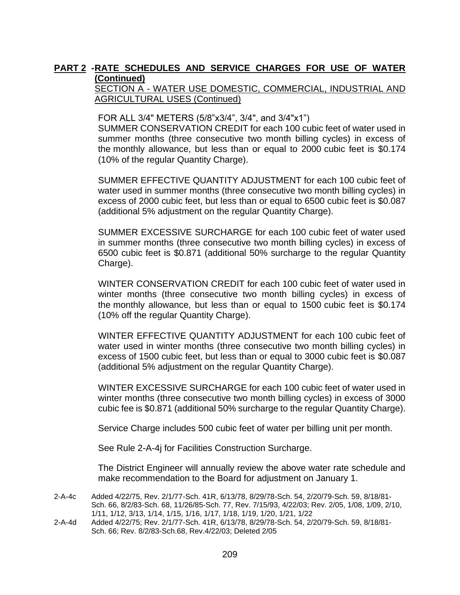#### SECTION A - WATER USE DOMESTIC, COMMERCIAL, INDUSTRIAL AND AGRICULTURAL USES (Continued)

FOR ALL 3/4" METERS (5/8"x3/4", 3/4", and 3/4"x1")

SUMMER CONSERVATION CREDIT for each 100 cubic feet of water used in summer months (three consecutive two month billing cycles) in excess of the monthly allowance, but less than or equal to 2000 cubic feet is \$0.174 (10% of the regular Quantity Charge).

SUMMER EFFECTIVE QUANTITY ADJUSTMENT for each 100 cubic feet of water used in summer months (three consecutive two month billing cycles) in excess of 2000 cubic feet, but less than or equal to 6500 cubic feet is \$0.087 (additional 5% adjustment on the regular Quantity Charge).

SUMMER EXCESSIVE SURCHARGE for each 100 cubic feet of water used in summer months (three consecutive two month billing cycles) in excess of 6500 cubic feet is \$0.871 (additional 50% surcharge to the regular Quantity Charge).

WINTER CONSERVATION CREDIT for each 100 cubic feet of water used in winter months (three consecutive two month billing cycles) in excess of the monthly allowance, but less than or equal to 1500 cubic feet is \$0.174 (10% off the regular Quantity Charge).

WINTER EFFECTIVE QUANTITY ADJUSTMENT for each 100 cubic feet of water used in winter months (three consecutive two month billing cycles) in excess of 1500 cubic feet, but less than or equal to 3000 cubic feet is \$0.087 (additional 5% adjustment on the regular Quantity Charge).

WINTER EXCESSIVE SURCHARGE for each 100 cubic feet of water used in winter months (three consecutive two month billing cycles) in excess of 3000 cubic fee is \$0.871 (additional 50% surcharge to the regular Quantity Charge).

Service Charge includes 500 cubic feet of water per billing unit per month.

See Rule 2-A-4j for Facilities Construction Surcharge.

The District Engineer will annually review the above water rate schedule and make recommendation to the Board for adjustment on January 1.

- 2-A-4c Added 4/22/75, Rev. 2/1/77-Sch. 41R, 6/13/78, 8/29/78-Sch. 54, 2/20/79-Sch. 59, 8/18/81- Sch. 66, 8/2/83-Sch. 68, 11/26/85-Sch. 77, Rev. 7/15/93, 4/22/03; Rev. 2/05, 1/08, 1/09, 2/10, 1/11, 1/12, 3/13, 1/14, 1/15, 1/16, 1/17, 1/18, 1/19, 1/20, 1/21, 1/22
- 2-A-4d Added 4/22/75; Rev. 2/1/77-Sch. 41R, 6/13/78, 8/29/78-Sch. 54, 2/20/79-Sch. 59, 8/18/81- Sch. 66; Rev. 8/2/83-Sch.68, Rev.4/22/03; Deleted 2/05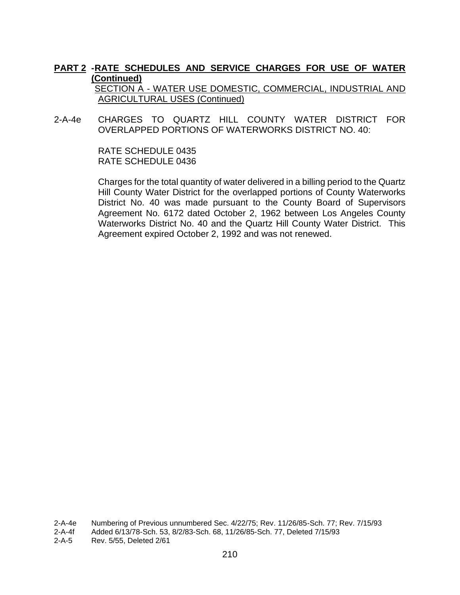SECTION A - WATER USE DOMESTIC, COMMERCIAL, INDUSTRIAL AND AGRICULTURAL USES (Continued)

2-A-4e CHARGES TO QUARTZ HILL COUNTY WATER DISTRICT FOR OVERLAPPED PORTIONS OF WATERWORKS DISTRICT NO. 40:

> RATE SCHEDULE 0435 RATE SCHEDULE 0436

Charges for the total quantity of water delivered in a billing period to the Quartz Hill County Water District for the overlapped portions of County Waterworks District No. 40 was made pursuant to the County Board of Supervisors Agreement No. 6172 dated October 2, 1962 between Los Angeles County Waterworks District No. 40 and the Quartz Hill County Water District. This Agreement expired October 2, 1992 and was not renewed.

2-A-4e Numbering of Previous unnumbered Sec. 4/22/75; Rev. 11/26/85-Sch. 77; Rev. 7/15/93

<sup>2-</sup>A-4f Added 6/13/78-Sch. 53, 8/2/83-Sch. 68, 11/26/85-Sch. 77, Deleted 7/15/93

<sup>2-</sup>A-5 Rev. 5/55, Deleted 2/61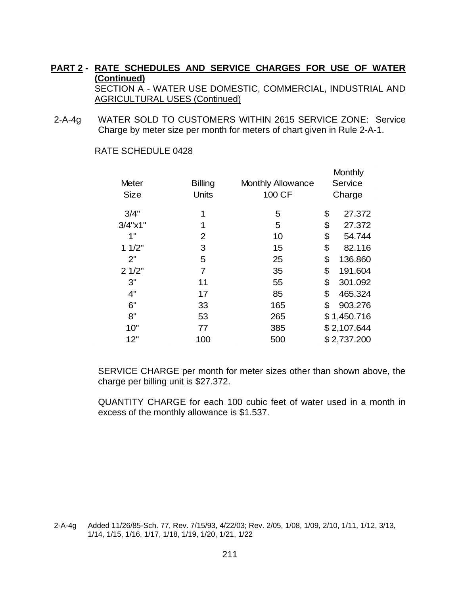2-A-4g WATER SOLD TO CUSTOMERS WITHIN 2615 SERVICE ZONE: Service Charge by meter size per month for meters of chart given in Rule 2-A-1.

| Meter               | <b>Billing</b> | <b>Monthly Allowance</b> | Monthly<br>Service |
|---------------------|----------------|--------------------------|--------------------|
| <b>Size</b>         | Units          | 100 CF                   | Charge             |
| 3/4"                | 1              | 5                        | \$<br>27.372       |
| $3/4$ " $\times$ 1" | 1              | 5                        | \$<br>27.372       |
| 1"                  | $\overline{2}$ | 10                       | \$<br>54.744       |
| 11/2"               | 3              | 15                       | \$<br>82.116       |
| 2"                  | 5              | 25                       | \$<br>136.860      |
| 21/2"               | 7              | 35                       | \$<br>191.604      |
| 3"                  | 11             | 55                       | \$<br>301.092      |
| 4"                  | 17             | 85                       | \$<br>465.324      |
| 6"                  | 33             | 165                      | \$<br>903.276      |
| 8"                  | 53             | 265                      | \$1,450.716        |
| 10"                 | 77             | 385                      | \$2,107.644        |
| 12"                 | 100            | 500                      | \$2,737.200        |

RATE SCHEDULE 0428

SERVICE CHARGE per month for meter sizes other than shown above, the charge per billing unit is \$27.372.

QUANTITY CHARGE for each 100 cubic feet of water used in a month in excess of the monthly allowance is \$1.537.

<sup>2-</sup>A-4g Added 11/26/85-Sch. 77, Rev. 7/15/93, 4/22/03; Rev. 2/05, 1/08, 1/09, 2/10, 1/11, 1/12, 3/13, 1/14, 1/15, 1/16, 1/17, 1/18, 1/19, 1/20, 1/21, 1/22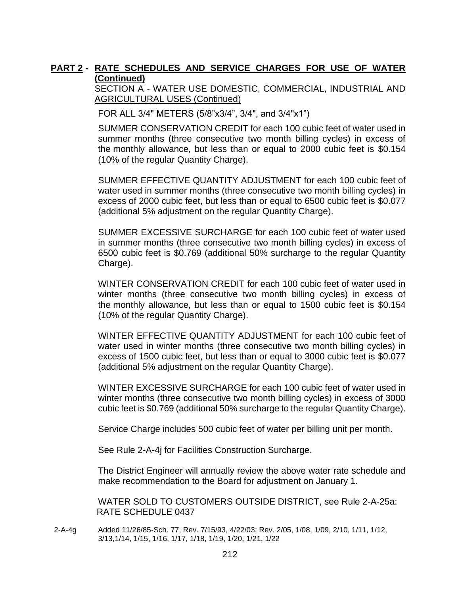SECTION A - WATER USE DOMESTIC, COMMERCIAL, INDUSTRIAL AND AGRICULTURAL USES (Continued)

FOR ALL 3/4" METERS (5/8"x3/4", 3/4", and 3/4"x1")

SUMMER CONSERVATION CREDIT for each 100 cubic feet of water used in summer months (three consecutive two month billing cycles) in excess of the monthly allowance, but less than or equal to 2000 cubic feet is \$0.154 (10% of the regular Quantity Charge).

SUMMER EFFECTIVE QUANTITY ADJUSTMENT for each 100 cubic feet of water used in summer months (three consecutive two month billing cycles) in excess of 2000 cubic feet, but less than or equal to 6500 cubic feet is \$0.077 (additional 5% adjustment on the regular Quantity Charge).

SUMMER EXCESSIVE SURCHARGE for each 100 cubic feet of water used in summer months (three consecutive two month billing cycles) in excess of 6500 cubic feet is \$0.769 (additional 50% surcharge to the regular Quantity Charge).

WINTER CONSERVATION CREDIT for each 100 cubic feet of water used in winter months (three consecutive two month billing cycles) in excess of the monthly allowance, but less than or equal to 1500 cubic feet is \$0.154 (10% of the regular Quantity Charge).

WINTER EFFECTIVE QUANTITY ADJUSTMENT for each 100 cubic feet of water used in winter months (three consecutive two month billing cycles) in excess of 1500 cubic feet, but less than or equal to 3000 cubic feet is \$0.077 (additional 5% adjustment on the regular Quantity Charge).

WINTER EXCESSIVE SURCHARGE for each 100 cubic feet of water used in winter months (three consecutive two month billing cycles) in excess of 3000 cubic feet is \$0.769 (additional 50% surcharge to the regular Quantity Charge).

Service Charge includes 500 cubic feet of water per billing unit per month.

See Rule 2-A-4j for Facilities Construction Surcharge.

The District Engineer will annually review the above water rate schedule and make recommendation to the Board for adjustment on January 1.

WATER SOLD TO CUSTOMERS OUTSIDE DISTRICT, see Rule 2-A-25a: RATE SCHEDULE 0437

2-A-4g Added 11/26/85-Sch. 77, Rev. 7/15/93, 4/22/03; Rev. 2/05, 1/08, 1/09, 2/10, 1/11, 1/12, 3/13,1/14, 1/15, 1/16, 1/17, 1/18, 1/19, 1/20, 1/21, 1/22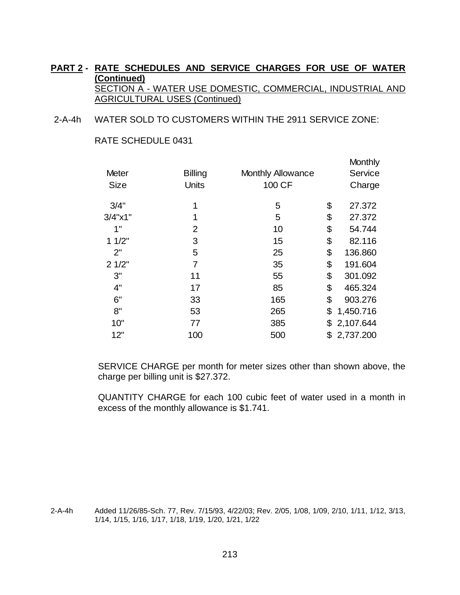2-A-4h WATER SOLD TO CUSTOMERS WITHIN THE 2911 SERVICE ZONE:

RATE SCHEDULE 0431

| <b>Meter</b> | <b>Billing</b> | <b>Monthly Allowance</b> | <b>Monthly</b><br>Service |
|--------------|----------------|--------------------------|---------------------------|
| <b>Size</b>  | <b>Units</b>   | 100 CF                   | Charge                    |
| 3/4"         | 1              | 5                        | \$<br>27.372              |
| 3/4"x1"      | 1              | 5                        | \$<br>27.372              |
| 1"           | 2              | 10                       | \$<br>54.744              |
| 11/2"        | 3              | 15                       | \$<br>82.116              |
| 2"           | 5              | 25                       | \$<br>136.860             |
| 21/2"        | $\overline{7}$ | 35                       | \$<br>191.604             |
| 3"           | 11             | 55                       | \$<br>301.092             |
| 4"           | 17             | 85                       | \$<br>465.324             |
| 6"           | 33             | 165                      | \$<br>903.276             |
| 8"           | 53             | 265                      | \$<br>1,450.716           |
| 10"          | 77             | 385                      | \$<br>2,107.644           |
| 12"          | 100            | 500                      | \$<br>2,737.200           |

SERVICE CHARGE per month for meter sizes other than shown above, the charge per billing unit is \$27.372.

QUANTITY CHARGE for each 100 cubic feet of water used in a month in excess of the monthly allowance is \$1.741.

2-A-4h Added 11/26/85-Sch. 77, Rev. 7/15/93, 4/22/03; Rev. 2/05, 1/08, 1/09, 2/10, 1/11, 1/12, 3/13, 1/14, 1/15, 1/16, 1/17, 1/18, 1/19, 1/20, 1/21, 1/22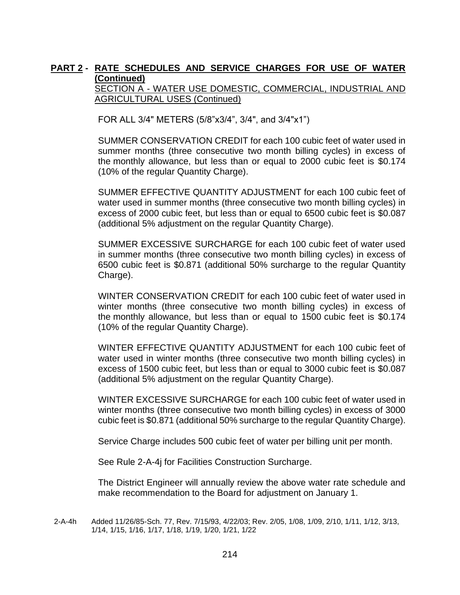SECTION A - WATER USE DOMESTIC, COMMERCIAL, INDUSTRIAL AND AGRICULTURAL USES (Continued)

FOR ALL 3/4" METERS (5/8"x3/4", 3/4", and 3/4"x1")

SUMMER CONSERVATION CREDIT for each 100 cubic feet of water used in summer months (three consecutive two month billing cycles) in excess of the monthly allowance, but less than or equal to 2000 cubic feet is \$0.174 (10% of the regular Quantity Charge).

SUMMER EFFECTIVE QUANTITY ADJUSTMENT for each 100 cubic feet of water used in summer months (three consecutive two month billing cycles) in excess of 2000 cubic feet, but less than or equal to 6500 cubic feet is \$0.087 (additional 5% adjustment on the regular Quantity Charge).

SUMMER EXCESSIVE SURCHARGE for each 100 cubic feet of water used in summer months (three consecutive two month billing cycles) in excess of 6500 cubic feet is \$0.871 (additional 50% surcharge to the regular Quantity Charge).

WINTER CONSERVATION CREDIT for each 100 cubic feet of water used in winter months (three consecutive two month billing cycles) in excess of the monthly allowance, but less than or equal to 1500 cubic feet is \$0.174 (10% of the regular Quantity Charge).

WINTER EFFECTIVE QUANTITY ADJUSTMENT for each 100 cubic feet of water used in winter months (three consecutive two month billing cycles) in excess of 1500 cubic feet, but less than or equal to 3000 cubic feet is \$0.087 (additional 5% adjustment on the regular Quantity Charge).

WINTER EXCESSIVE SURCHARGE for each 100 cubic feet of water used in winter months (three consecutive two month billing cycles) in excess of 3000 cubic feet is \$0.871 (additional 50% surcharge to the regular Quantity Charge).

Service Charge includes 500 cubic feet of water per billing unit per month.

See Rule 2-A-4j for Facilities Construction Surcharge.

The District Engineer will annually review the above water rate schedule and make recommendation to the Board for adjustment on January 1.

2-A-4h Added 11/26/85-Sch. 77, Rev. 7/15/93, 4/22/03; Rev. 2/05, 1/08, 1/09, 2/10, 1/11, 1/12, 3/13, 1/14, 1/15, 1/16, 1/17, 1/18, 1/19, 1/20, 1/21, 1/22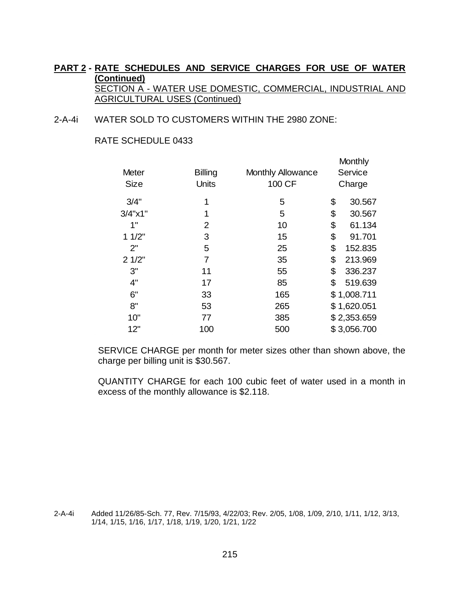2-A-4i WATER SOLD TO CUSTOMERS WITHIN THE 2980 ZONE:

RATE SCHEDULE 0433

| Meter               | <b>Billing</b> | Monthly Allowance | Monthly<br>Service |
|---------------------|----------------|-------------------|--------------------|
| <b>Size</b>         | Units          | 100 CF            | Charge             |
| 3/4"                | 1              | 5                 | \$<br>30.567       |
| $3/4$ " $\times$ 1" | 1              | 5                 | \$<br>30.567       |
| 1"                  | 2              | 10                | \$<br>61.134       |
| 11/2"               | 3              | 15                | \$<br>91.701       |
| 2"                  | 5              | 25                | \$<br>152.835      |
| 21/2"               | $\overline{7}$ | 35                | \$<br>213.969      |
| 3"                  | 11             | 55                | \$<br>336.237      |
| 4"                  | 17             | 85                | \$<br>519.639      |
| 6"                  | 33             | 165               | \$1,008.711        |
| 8"                  | 53             | 265               | \$1,620.051        |
| 10"                 | 77             | 385               | \$2,353.659        |
| 12"                 | 100            | 500               | \$3,056.700        |

SERVICE CHARGE per month for meter sizes other than shown above, the charge per billing unit is \$30.567.

QUANTITY CHARGE for each 100 cubic feet of water used in a month in excess of the monthly allowance is \$2.118.

2-A-4i Added 11/26/85-Sch. 77, Rev. 7/15/93, 4/22/03; Rev. 2/05, 1/08, 1/09, 2/10, 1/11, 1/12, 3/13, 1/14, 1/15, 1/16, 1/17, 1/18, 1/19, 1/20, 1/21, 1/22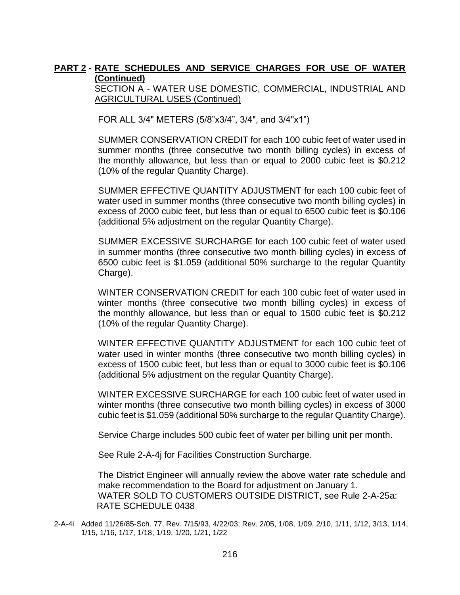SECTION A - WATER USE DOMESTIC, COMMERCIAL, INDUSTRIAL AND AGRICULTURAL USES (Continued)

FOR ALL 3/4" METERS (5/8"x3/4", 3/4", and 3/4"x1")

SUMMER CONSERVATION CREDIT for each 100 cubic feet of water used in summer months (three consecutive two month billing cycles) in excess of the monthly allowance, but less than or equal to 2000 cubic feet is \$0.212 (10% of the regular Quantity Charge).

SUMMER EFFECTIVE QUANTITY ADJUSTMENT for each 100 cubic feet of water used in summer months (three consecutive two month billing cycles) in excess of 2000 cubic feet, but less than or equal to 6500 cubic feet is \$0.106 (additional 5% adjustment on the regular Quantity Charge).

SUMMER EXCESSIVE SURCHARGE for each 100 cubic feet of water used in summer months (three consecutive two month billing cycles) in excess of 6500 cubic feet is \$1.059 (additional 50% surcharge to the regular Quantity Charge).

WINTER CONSERVATION CREDIT for each 100 cubic feet of water used in winter months (three consecutive two month billing cycles) in excess of the monthly allowance, but less than or equal to 1500 cubic feet is \$0.212 (10% of the regular Quantity Charge).

WINTER EFFECTIVE QUANTITY ADJUSTMENT for each 100 cubic feet of water used in winter months (three consecutive two month billing cycles) in excess of 1500 cubic feet, but less than or equal to 3000 cubic feet is \$0.106 (additional 5% adjustment on the regular Quantity Charge).

WINTER EXCESSIVE SURCHARGE for each 100 cubic feet of water used in winter months (three consecutive two month billing cycles) in excess of 3000 cubic feet is \$1.059 (additional 50% surcharge to the regular Quantity Charge).

Service Charge includes 500 cubic feet of water per billing unit per month.

See Rule 2-A-4j for Facilities Construction Surcharge.

The District Engineer will annually review the above water rate schedule and make recommendation to the Board for adjustment on January 1. WATER SOLD TO CUSTOMERS OUTSIDE DISTRICT, see Rule 2-A-25a: RATE SCHEDULE 0438

2-A-4i Added 11/26/85-Sch. 77, Rev. 7/15/93, 4/22/03; Rev. 2/05, 1/08, 1/09, 2/10, 1/11, 1/12, 3/13, 1/14, 1/15, 1/16, 1/17, 1/18, 1/19, 1/20, 1/21, 1/22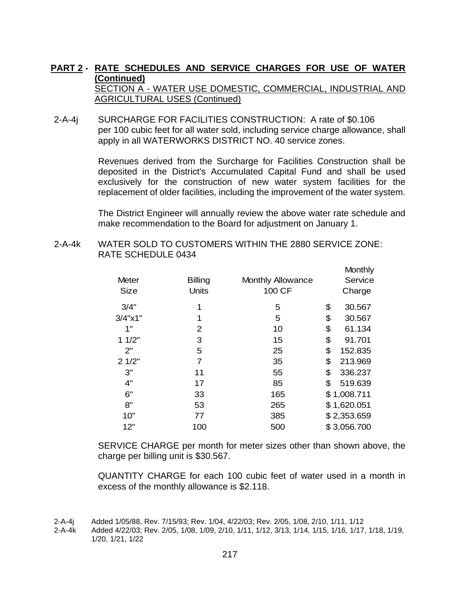2-A-4j SURCHARGE FOR FACILITIES CONSTRUCTION: A rate of \$0.106 per 100 cubic feet for all water sold, including service charge allowance, shall apply in all WATERWORKS DISTRICT NO. 40 service zones.

> Revenues derived from the Surcharge for Facilities Construction shall be deposited in the District's Accumulated Capital Fund and shall be used exclusively for the construction of new water system facilities for the replacement of older facilities, including the improvement of the water system.

> The District Engineer will annually review the above water rate schedule and make recommendation to the Board for adjustment on January 1.

> > Monthly

2-A-4k WATER SOLD TO CUSTOMERS WITHIN THE 2880 SERVICE ZONE: RATE SCHEDULE 0434

|                     |                |                          | <b>IVIOI IU IIV</b> |
|---------------------|----------------|--------------------------|---------------------|
| Meter               | <b>Billing</b> | <b>Monthly Allowance</b> | Service             |
| <b>Size</b>         | Units          | 100 CF                   | Charge              |
| 3/4"                | 1              | 5                        | \$<br>30.567        |
| $3/4$ " $\times$ 1" | 1              | 5                        | \$<br>30.567        |
| 1"                  | 2              | 10                       | \$<br>61.134        |
| 11/2"               | 3              | 15                       | \$<br>91.701        |
| 2"                  | 5              | 25                       | \$<br>152.835       |
| 21/2"               | 7              | 35                       | \$<br>213.969       |
| 3"                  | 11             | 55                       | \$<br>336.237       |
| 4"                  | 17             | 85                       | \$<br>519.639       |
| 6"                  | 33             | 165                      | \$1,008.711         |
| 8"                  | 53             | 265                      | \$1,620.051         |
| 10"                 | 77             | 385                      | \$2,353.659         |
| 12"                 | 100            | 500                      | \$3,056.700         |
|                     |                |                          |                     |

SERVICE CHARGE per month for meter sizes other than shown above, the charge per billing unit is \$30.567.

QUANTITY CHARGE for each 100 cubic feet of water used in a month in excess of the monthly allowance is \$2.118.

<sup>2-</sup>A-4j Added 1/05/88, Rev. 7/15/93; Rev. 1/04, 4/22/03; Rev. 2/05, 1/08, 2/10, 1/11, 1/12

<sup>2-</sup>A-4k Added 4/22/03; Rev. 2/05, 1/08, 1/09, 2/10, 1/11, 1/12, 3/13, 1/14, 1/15, 1/16, 1/17, 1/18, 1/19, 1/20, 1/21, 1/22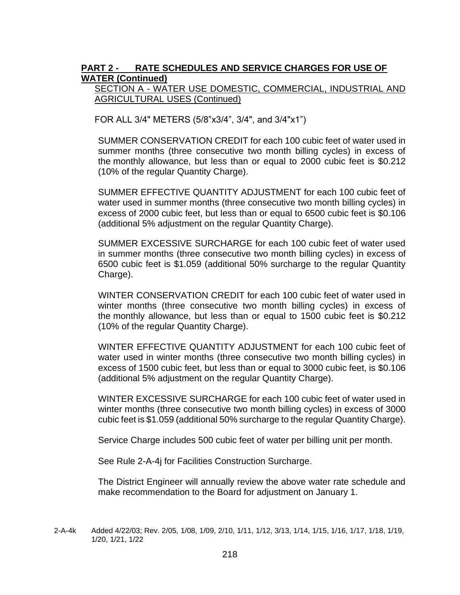### SECTION A - WATER USE DOMESTIC, COMMERCIAL, INDUSTRIAL AND AGRICULTURAL USES (Continued)

FOR ALL 3/4" METERS (5/8"x3/4", 3/4", and 3/4"x1")

SUMMER CONSERVATION CREDIT for each 100 cubic feet of water used in summer months (three consecutive two month billing cycles) in excess of the monthly allowance, but less than or equal to 2000 cubic feet is \$0.212 (10% of the regular Quantity Charge).

SUMMER EFFECTIVE QUANTITY ADJUSTMENT for each 100 cubic feet of water used in summer months (three consecutive two month billing cycles) in excess of 2000 cubic feet, but less than or equal to 6500 cubic feet is \$0.106 (additional 5% adjustment on the regular Quantity Charge).

SUMMER EXCESSIVE SURCHARGE for each 100 cubic feet of water used in summer months (three consecutive two month billing cycles) in excess of 6500 cubic feet is \$1.059 (additional 50% surcharge to the regular Quantity Charge).

WINTER CONSERVATION CREDIT for each 100 cubic feet of water used in winter months (three consecutive two month billing cycles) in excess of the monthly allowance, but less than or equal to 1500 cubic feet is \$0.212 (10% of the regular Quantity Charge).

WINTER EFFECTIVE QUANTITY ADJUSTMENT for each 100 cubic feet of water used in winter months (three consecutive two month billing cycles) in excess of 1500 cubic feet, but less than or equal to 3000 cubic feet, is \$0.106 (additional 5% adjustment on the regular Quantity Charge).

WINTER EXCESSIVE SURCHARGE for each 100 cubic feet of water used in winter months (three consecutive two month billing cycles) in excess of 3000 cubic feet is \$1.059 (additional 50% surcharge to the regular Quantity Charge).

Service Charge includes 500 cubic feet of water per billing unit per month.

See Rule 2-A-4j for Facilities Construction Surcharge.

The District Engineer will annually review the above water rate schedule and make recommendation to the Board for adjustment on January 1.

<sup>2-</sup>A-4k Added 4/22/03; Rev. 2/05, 1/08, 1/09, 2/10, 1/11, 1/12, 3/13, 1/14, 1/15, 1/16, 1/17, 1/18, 1/19, 1/20, 1/21, 1/22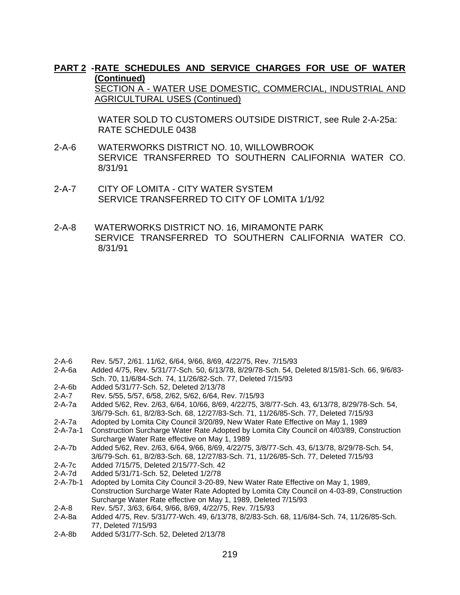#### **PART 2 -RATE SCHEDULES AND SERVICE CHARGES FOR USE OF WATER (Continued)**  SECTION A - WATER USE DOMESTIC, COMMERCIAL, INDUSTRIAL AND

AGRICULTURAL USES (Continued)

WATER SOLD TO CUSTOMERS OUTSIDE DISTRICT, see Rule 2-A-25a: RATE SCHEDULE 0438

- 2-A-6 WATERWORKS DISTRICT NO. 10, WILLOWBROOK SERVICE TRANSFERRED TO SOUTHERN CALIFORNIA WATER CO. 8/31/91
- 2-A-7 CITY OF LOMITA CITY WATER SYSTEM SERVICE TRANSFERRED TO CITY OF LOMITA 1/1/92
- 2-A-8 WATERWORKS DISTRICT NO. 16, MIRAMONTE PARK SERVICE TRANSFERRED TO SOUTHERN CALIFORNIA WATER CO. 8/31/91

- 2-A-6 Rev. 5/57, 2/61. 11/62, 6/64, 9/66, 8/69, 4/22/75, Rev. 7/15/93
- 2-A-6a Added 4/75, Rev. 5/31/77-Sch. 50, 6/13/78, 8/29/78-Sch. 54, Deleted 8/15/81-Sch. 66, 9/6/83- Sch. 70, 11/6/84-Sch. 74, 11/26/82-Sch. 77, Deleted 7/15/93
- 2-A-6b Added 5/31/77-Sch. 52, Deleted 2/13/78
- 2-A-7 Rev. 5/55, 5/57, 6/58, 2/62, 5/62, 6/64, Rev. 7/15/93
- 2-A-7a Added 5/62, Rev. 2/63, 6/64, 10/66, 8/69, 4/22/75, 3/8/77-Sch. 43, 6/13/78, 8/29/78-Sch. 54, 3/6/79-Sch. 61, 8/2/83-Sch. 68, 12/27/83-Sch. 71, 11/26/85-Sch. 77, Deleted 7/15/93
- 2-A-7a Adopted by Lomita City Council 3/20/89, New Water Rate Effective on May 1, 1989
- 2-A-7a-1 Construction Surcharge Water Rate Adopted by Lomita City Council on 4/03/89, Construction Surcharge Water Rate effective on May 1, 1989
- 2-A-7b Added 5/62, Rev. 2/63, 6/64, 9/66, 8/69, 4/22/75, 3/8/77-Sch. 43, 6/13/78, 8/29/78-Sch. 54, 3/6/79-Sch. 61, 8/2/83-Sch. 68, 12/27/83-Sch. 71, 11/26/85-Sch. 77, Deleted 7/15/93
- 2-A-7c Added 7/15/75, Deleted 2/15/77-Sch. 42
- 2-A-7d Added 5/31/71-Sch. 52, Deleted 1/2/78
- 2-A-7b-1 Adopted by Lomita City Council 3-20-89, New Water Rate Effective on May 1, 1989, Construction Surcharge Water Rate Adopted by Lomita City Council on 4-03-89, Construction Surcharge Water Rate effective on May 1, 1989, Deleted 7/15/93
- 2-A-8 Rev. 5/57, 3/63, 6/64, 9/66, 8/69, 4/22/75, Rev. 7/15/93<br>2-A-8a Added 4/75, Rev. 5/31/77-Wch. 49, 6/13/78, 8/2/83-Sch
- 2-A-8a Added 4/75, Rev. 5/31/77-Wch. 49, 6/13/78, 8/2/83-Sch. 68, 11/6/84-Sch. 74, 11/26/85-Sch. 77, Deleted 7/15/93
- 2-A-8b Added 5/31/77-Sch. 52, Deleted 2/13/78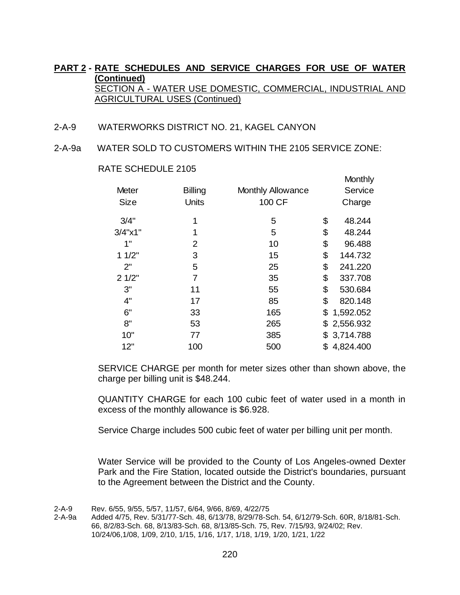- 2-A-9 WATERWORKS DISTRICT NO. 21, KAGEL CANYON
- 2-A-9a WATER SOLD TO CUSTOMERS WITHIN THE 2105 SERVICE ZONE:

|                     |                |                          | <b>IVIONITIIV</b> |
|---------------------|----------------|--------------------------|-------------------|
| Meter               | <b>Billing</b> | <b>Monthly Allowance</b> | Service           |
| <b>Size</b>         | Units          | 100 CF                   | Charge            |
| 3/4"                | 1              | 5                        | \$<br>48.244      |
| $3/4$ " $\times$ 1" | 1              | 5                        | \$<br>48.244      |
| 1"                  | 2              | 10                       | \$<br>96.488      |
| 11/2"               | 3              | 15                       | \$<br>144.732     |
| 2"                  | 5              | 25                       | \$<br>241.220     |
| 21/2"               | 7              | 35                       | \$<br>337.708     |
| 3"                  | 11             | 55                       | \$<br>530.684     |
| 4"                  | 17             | 85                       | \$<br>820.148     |
| 6"                  | 33             | 165                      | \$<br>1,592.052   |
| 8"                  | 53             | 265                      | \$<br>2,556.932   |
| 10"                 | 77             | 385                      | \$<br>3,714.788   |
| 12"                 | 100            | 500                      | \$<br>4,824.400   |
|                     |                |                          |                   |

Month Li

RATE SCHEDULE 2105

SERVICE CHARGE per month for meter sizes other than shown above, the charge per billing unit is \$48.244.

QUANTITY CHARGE for each 100 cubic feet of water used in a month in excess of the monthly allowance is \$6.928.

Service Charge includes 500 cubic feet of water per billing unit per month.

Water Service will be provided to the County of Los Angeles-owned Dexter Park and the Fire Station, located outside the District's boundaries, pursuant to the Agreement between the District and the County.

<sup>2-</sup>A-9 Rev. 6/55, 9/55, 5/57, 11/57, 6/64, 9/66, 8/69, 4/22/75

<sup>2-</sup>A-9a Added 4/75, Rev. 5/31/77-Sch. 48, 6/13/78, 8/29/78-Sch. 54, 6/12/79-Sch. 60R, 8/18/81-Sch. 66, 8/2/83-Sch. 68, 8/13/83-Sch. 68, 8/13/85-Sch. 75, Rev. 7/15/93, 9/24/02; Rev. 10/24/06,1/08, 1/09, 2/10, 1/15, 1/16, 1/17, 1/18, 1/19, 1/20, 1/21, 1/22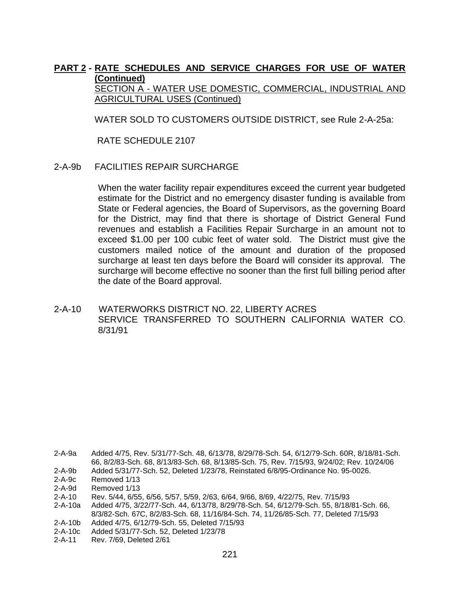SECTION A - WATER USE DOMESTIC, COMMERCIAL, INDUSTRIAL AND AGRICULTURAL USES (Continued)

WATER SOLD TO CUSTOMERS OUTSIDE DISTRICT, see Rule 2-A-25a:

RATE SCHEDULE 2107

2-A-9b FACILITIES REPAIR SURCHARGE

When the water facility repair expenditures exceed the current year budgeted estimate for the District and no emergency disaster funding is available from State or Federal agencies, the Board of Supervisors, as the governing Board for the District, may find that there is shortage of District General Fund revenues and establish a Facilities Repair Surcharge in an amount not to exceed \$1.00 per 100 cubic feet of water sold. The District must give the customers mailed notice of the amount and duration of the proposed surcharge at least ten days before the Board will consider its approval. The surcharge will become effective no sooner than the first full billing period after the date of the Board approval.

2-A-10 WATERWORKS DISTRICT NO. 22, LIBERTY ACRES SERVICE TRANSFERRED TO SOUTHERN CALIFORNIA WATER CO. 8/31/91

<sup>2-</sup>A-9a Added 4/75, Rev. 5/31/77-Sch. 48, 6/13/78, 8/29/78-Sch. 54, 6/12/79-Sch. 60R, 8/18/81-Sch. 66, 8/2/83-Sch. 68, 8/13/83-Sch. 68, 8/13/85-Sch. 75, Rev. 7/15/93, 9/24/02; Rev. 10/24/06

<sup>2-</sup>A-9b Added 5/31/77-Sch. 52, Deleted 1/23/78, Reinstated 6/8/95-Ordinance No. 95-0026.

<sup>2-</sup>A-9c Removed 1/13

<sup>2-</sup>A-9d Removed 1/13

<sup>2-</sup>A-10 Rev. 5/44, 6/55, 6/56, 5/57, 5/59, 2/63, 6/64, 9/66, 8/69, 4/22/75, Rev. 7/15/93

<sup>2-</sup>A-10a Added 4/75, 3/22/77-Sch. 44, 6/13/78, 8/29/78-Sch. 54, 6/12/79-Sch. 55, 8/18/81-Sch. 66, 8/3/82-Sch. 67C, 8/2/83-Sch. 68, 11/16/84-Sch. 74, 11/26/85-Sch. 77, Deleted 7/15/93

<sup>2-</sup>A-10b Added 4/75, 6/12/79-Sch. 55, Deleted 7/15/93

<sup>2-</sup>A-10c Added 5/31/77-Sch. 52, Deleted 1/23/78

<sup>2-</sup>A-11 Rev. 7/69, Deleted 2/61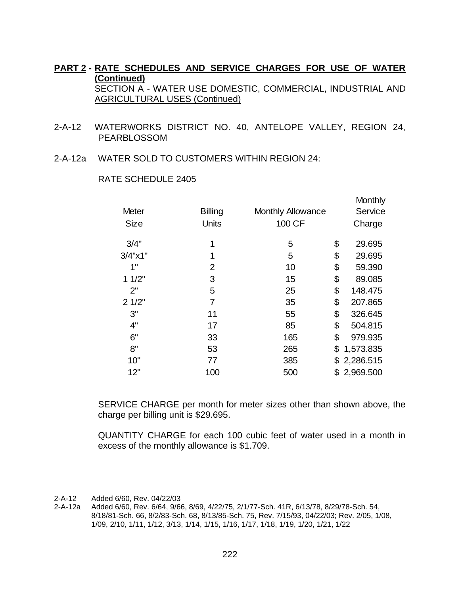- 2-A-12 WATERWORKS DISTRICT NO. 40, ANTELOPE VALLEY, REGION 24, PEARBLOSSOM
- 2-A-12a WATER SOLD TO CUSTOMERS WITHIN REGION 24:

|                     |                |                          | Monthly         |
|---------------------|----------------|--------------------------|-----------------|
| <b>Meter</b>        | <b>Billing</b> | <b>Monthly Allowance</b> | Service         |
| <b>Size</b>         | Units          | 100 CF                   | Charge          |
| 3/4"                | 1              | 5                        | \$<br>29.695    |
| $3/4$ " $\times$ 1" | 1              | 5                        | \$<br>29.695    |
| 1"                  | 2              | 10                       | \$<br>59.390    |
| 11/2"               | 3              | 15                       | \$<br>89.085    |
| 2"                  | 5              | 25                       | \$<br>148.475   |
| 21/2"               | $\overline{7}$ | 35                       | \$<br>207.865   |
| 3"                  | 11             | 55                       | \$<br>326.645   |
| 4"                  | 17             | 85                       | \$<br>504.815   |
| 6"                  | 33             | 165                      | \$<br>979.935   |
| 8"                  | 53             | 265                      | \$<br>1,573.835 |
| 10"                 | 77             | 385                      | \$<br>2,286.515 |
| 12"                 | 100            | 500                      | \$<br>2,969.500 |

#### RATE SCHEDULE 2405

SERVICE CHARGE per month for meter sizes other than shown above, the charge per billing unit is \$29.695.

QUANTITY CHARGE for each 100 cubic feet of water used in a month in excess of the monthly allowance is \$1.709.

2-A-12 Added 6/60, Rev. 04/22/03

2-A-12a Added 6/60, Rev. 6/64, 9/66, 8/69, 4/22/75, 2/1/77-Sch. 41R, 6/13/78, 8/29/78-Sch. 54, 8/18/81-Sch. 66, 8/2/83-Sch. 68, 8/13/85-Sch. 75, Rev. 7/15/93, 04/22/03; Rev. 2/05, 1/08, 1/09, 2/10, 1/11, 1/12, 3/13, 1/14, 1/15, 1/16, 1/17, 1/18, 1/19, 1/20, 1/21, 1/22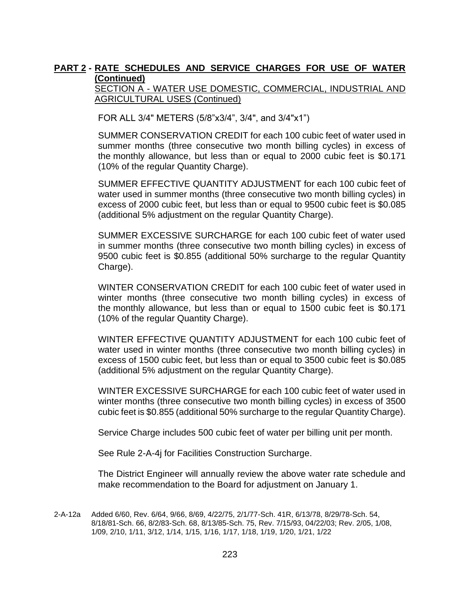SECTION A - WATER USE DOMESTIC, COMMERCIAL, INDUSTRIAL AND AGRICULTURAL USES (Continued)

FOR ALL 3/4" METERS (5/8"x3/4", 3/4", and 3/4"x1")

SUMMER CONSERVATION CREDIT for each 100 cubic feet of water used in summer months (three consecutive two month billing cycles) in excess of the monthly allowance, but less than or equal to 2000 cubic feet is \$0.171 (10% of the regular Quantity Charge).

SUMMER EFFECTIVE QUANTITY ADJUSTMENT for each 100 cubic feet of water used in summer months (three consecutive two month billing cycles) in excess of 2000 cubic feet, but less than or equal to 9500 cubic feet is \$0.085 (additional 5% adjustment on the regular Quantity Charge).

SUMMER EXCESSIVE SURCHARGE for each 100 cubic feet of water used in summer months (three consecutive two month billing cycles) in excess of 9500 cubic feet is \$0.855 (additional 50% surcharge to the regular Quantity Charge).

WINTER CONSERVATION CREDIT for each 100 cubic feet of water used in winter months (three consecutive two month billing cycles) in excess of the monthly allowance, but less than or equal to 1500 cubic feet is \$0.171 (10% of the regular Quantity Charge).

WINTER EFFECTIVE QUANTITY ADJUSTMENT for each 100 cubic feet of water used in winter months (three consecutive two month billing cycles) in excess of 1500 cubic feet, but less than or equal to 3500 cubic feet is \$0.085 (additional 5% adjustment on the regular Quantity Charge).

WINTER EXCESSIVE SURCHARGE for each 100 cubic feet of water used in winter months (three consecutive two month billing cycles) in excess of 3500 cubic feet is \$0.855 (additional 50% surcharge to the regular Quantity Charge).

Service Charge includes 500 cubic feet of water per billing unit per month.

See Rule 2-A-4j for Facilities Construction Surcharge.

The District Engineer will annually review the above water rate schedule and make recommendation to the Board for adjustment on January 1.

2-A-12a Added 6/60, Rev. 6/64, 9/66, 8/69, 4/22/75, 2/1/77-Sch. 41R, 6/13/78, 8/29/78-Sch. 54, 8/18/81-Sch. 66, 8/2/83-Sch. 68, 8/13/85-Sch. 75, Rev. 7/15/93, 04/22/03; Rev. 2/05, 1/08, 1/09, 2/10, 1/11, 3/12, 1/14, 1/15, 1/16, 1/17, 1/18, 1/19, 1/20, 1/21, 1/22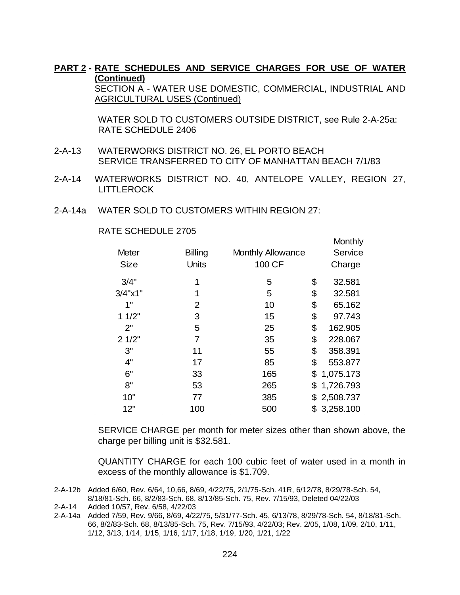SECTION A - WATER USE DOMESTIC, COMMERCIAL, INDUSTRIAL AND AGRICULTURAL USES (Continued)

 WATER SOLD TO CUSTOMERS OUTSIDE DISTRICT, see Rule 2-A-25a: RATE SCHEDULE 2406

Month Links

- 2-A-13 WATERWORKS DISTRICT NO. 26, EL PORTO BEACH SERVICE TRANSFERRED TO CITY OF MANHATTAN BEACH 7/1/83
- 2-A-14 WATERWORKS DISTRICT NO. 40, ANTELOPE VALLEY, REGION 27, LITTLEROCK
- 2-A-14a WATER SOLD TO CUSTOMERS WITHIN REGION 27:

|                     |                |                          | <b>IVIOHUHY</b> |
|---------------------|----------------|--------------------------|-----------------|
| Meter               | <b>Billing</b> | <b>Monthly Allowance</b> | Service         |
| <b>Size</b>         | Units          | 100 CF                   | Charge          |
| 3/4"                | 1              | 5                        | \$<br>32.581    |
| $3/4$ " $\times$ 1" | 1              | 5                        | \$<br>32.581    |
| 1"                  | 2              | 10                       | \$<br>65.162    |
| 11/2"               | 3              | 15                       | \$<br>97.743    |
| 2"                  | 5              | 25                       | \$<br>162.905   |
| 21/2"               | 7              | 35                       | \$<br>228.067   |
| 3"                  | 11             | 55                       | \$<br>358.391   |
| 4"                  | 17             | 85                       | \$<br>553.877   |
| 6"                  | 33             | 165                      | \$1,075.173     |
| 8"                  | 53             | 265                      | \$1,726.793     |
| 10"                 | 77             | 385                      | \$<br>2,508.737 |
| 12"                 | 100            | 500                      | \$<br>3,258.100 |
|                     |                |                          |                 |

#### RATE SCHEDULE 2705

SERVICE CHARGE per month for meter sizes other than shown above, the charge per billing unit is \$32.581.

QUANTITY CHARGE for each 100 cubic feet of water used in a month in excess of the monthly allowance is \$1.709.

2-A-12b Added 6/60, Rev. 6/64, 10,66, 8/69, 4/22/75, 2/1/75-Sch. 41R, 6/12/78, 8/29/78-Sch. 54, 8/18/81-Sch. 66, 8/2/83-Sch. 68, 8/13/85-Sch. 75, Rev. 7/15/93, Deleted 04/22/03

2-A-14a Added 7/59, Rev. 9/66, 8/69, 4/22/75, 5/31/77-Sch. 45, 6/13/78, 8/29/78-Sch. 54, 8/18/81-Sch. 66, 8/2/83-Sch. 68, 8/13/85-Sch. 75, Rev. 7/15/93, 4/22/03; Rev. 2/05, 1/08, 1/09, 2/10, 1/11, 1/12, 3/13, 1/14, 1/15, 1/16, 1/17, 1/18, 1/19, 1/20, 1/21, 1/22

<sup>2-</sup>A-14 Added 10/57, Rev. 6/58, 4/22/03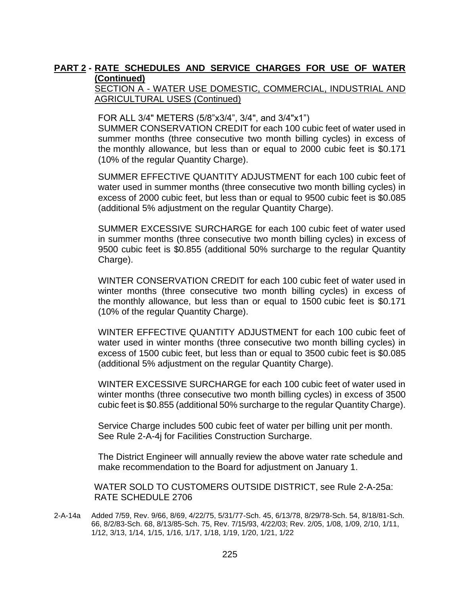### SECTION A - WATER USE DOMESTIC, COMMERCIAL, INDUSTRIAL AND AGRICULTURAL USES (Continued)

FOR ALL 3/4" METERS (5/8"x3/4", 3/4", and 3/4"x1")

SUMMER CONSERVATION CREDIT for each 100 cubic feet of water used in summer months (three consecutive two month billing cycles) in excess of the monthly allowance, but less than or equal to 2000 cubic feet is \$0.171 (10% of the regular Quantity Charge).

SUMMER EFFECTIVE QUANTITY ADJUSTMENT for each 100 cubic feet of water used in summer months (three consecutive two month billing cycles) in excess of 2000 cubic feet, but less than or equal to 9500 cubic feet is \$0.085 (additional 5% adjustment on the regular Quantity Charge).

SUMMER EXCESSIVE SURCHARGE for each 100 cubic feet of water used in summer months (three consecutive two month billing cycles) in excess of 9500 cubic feet is \$0.855 (additional 50% surcharge to the regular Quantity Charge).

WINTER CONSERVATION CREDIT for each 100 cubic feet of water used in winter months (three consecutive two month billing cycles) in excess of the monthly allowance, but less than or equal to 1500 cubic feet is \$0.171 (10% of the regular Quantity Charge).

WINTER EFFECTIVE QUANTITY ADJUSTMENT for each 100 cubic feet of water used in winter months (three consecutive two month billing cycles) in excess of 1500 cubic feet, but less than or equal to 3500 cubic feet is \$0.085 (additional 5% adjustment on the regular Quantity Charge).

WINTER EXCESSIVE SURCHARGE for each 100 cubic feet of water used in winter months (three consecutive two month billing cycles) in excess of 3500 cubic feet is \$0.855 (additional 50% surcharge to the regular Quantity Charge).

Service Charge includes 500 cubic feet of water per billing unit per month. See Rule 2-A-4j for Facilities Construction Surcharge.

The District Engineer will annually review the above water rate schedule and make recommendation to the Board for adjustment on January 1.

 WATER SOLD TO CUSTOMERS OUTSIDE DISTRICT, see Rule 2-A-25a: RATE SCHEDULE 2706

2-A-14a Added 7/59, Rev. 9/66, 8/69, 4/22/75, 5/31/77-Sch. 45, 6/13/78, 8/29/78-Sch. 54, 8/18/81-Sch. 66, 8/2/83-Sch. 68, 8/13/85-Sch. 75, Rev. 7/15/93, 4/22/03; Rev. 2/05, 1/08, 1/09, 2/10, 1/11, 1/12, 3/13, 1/14, 1/15, 1/16, 1/17, 1/18, 1/19, 1/20, 1/21, 1/22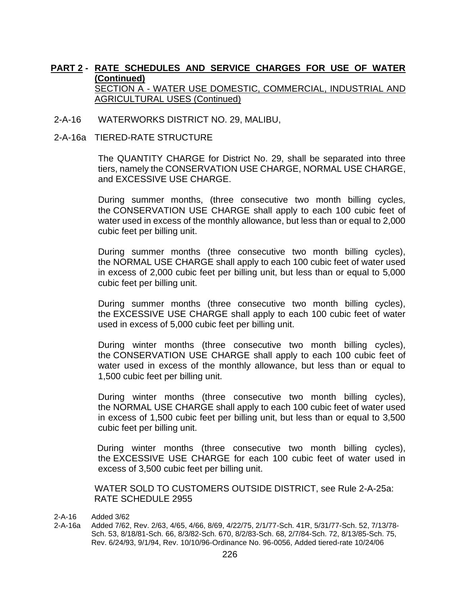- 2-A-16 WATERWORKS DISTRICT NO. 29, MALIBU,
- 2-A-16a TIERED-RATE STRUCTURE

The QUANTITY CHARGE for District No. 29, shall be separated into three tiers, namely the CONSERVATION USE CHARGE, NORMAL USE CHARGE, and EXCESSIVE USE CHARGE.

During summer months, (three consecutive two month billing cycles, the CONSERVATION USE CHARGE shall apply to each 100 cubic feet of water used in excess of the monthly allowance, but less than or equal to 2,000 cubic feet per billing unit.

During summer months (three consecutive two month billing cycles), the NORMAL USE CHARGE shall apply to each 100 cubic feet of water used in excess of 2,000 cubic feet per billing unit, but less than or equal to 5,000 cubic feet per billing unit.

During summer months (three consecutive two month billing cycles), the EXCESSIVE USE CHARGE shall apply to each 100 cubic feet of water used in excess of 5,000 cubic feet per billing unit.

During winter months (three consecutive two month billing cycles), the CONSERVATION USE CHARGE shall apply to each 100 cubic feet of water used in excess of the monthly allowance, but less than or equal to 1,500 cubic feet per billing unit.

During winter months (three consecutive two month billing cycles), the NORMAL USE CHARGE shall apply to each 100 cubic feet of water used in excess of 1,500 cubic feet per billing unit, but less than or equal to 3,500 cubic feet per billing unit.

During winter months (three consecutive two month billing cycles), the EXCESSIVE USE CHARGE for each 100 cubic feet of water used in excess of 3,500 cubic feet per billing unit.

WATER SOLD TO CUSTOMERS OUTSIDE DISTRICT, see Rule 2-A-25a: RATE SCHEDULE 2955

- 2-A-16 Added 3/62
- 2-A-16a Added 7/62, Rev. 2/63, 4/65, 4/66, 8/69, 4/22/75, 2/1/77-Sch. 41R, 5/31/77-Sch. 52, 7/13/78- Sch. 53, 8/18/81-Sch. 66, 8/3/82-Sch. 670, 8/2/83-Sch. 68, 2/7/84-Sch. 72, 8/13/85-Sch. 75, Rev. 6/24/93, 9/1/94, Rev. 10/10/96-Ordinance No. 96-0056, Added tiered-rate 10/24/06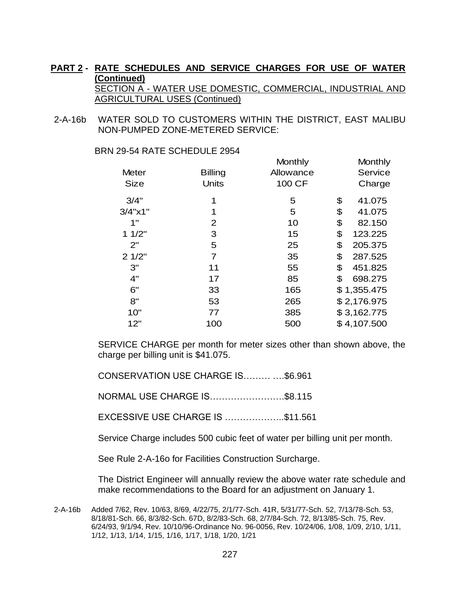2-A-16b WATER SOLD TO CUSTOMERS WITHIN THE DISTRICT, EAST MALIBU NON-PUMPED ZONE-METERED SERVICE:

|                     |                | <b>IVIOLIUITY</b> | <b>IVIOLIU IIV</b> |
|---------------------|----------------|-------------------|--------------------|
| <b>Meter</b>        | <b>Billing</b> | Allowance         | Service            |
| <b>Size</b>         | <b>Units</b>   | 100 CF            | Charge             |
| 3/4"                | 1              | 5                 | \$<br>41.075       |
| $3/4$ " $\times$ 1" | 1              | 5                 | \$<br>41.075       |
| 1"                  | 2              | 10                | \$<br>82.150       |
| 11/2"               | 3              | 15                | \$<br>123.225      |
| 2"                  | 5              | 25                | \$<br>205.375      |
| 21/2"               | $\overline{7}$ | 35                | \$<br>287.525      |
| 3"                  | 11             | 55                | \$<br>451.825      |
| 4"                  | 17             | 85                | \$<br>698.275      |
| 6"                  | 33             | 165               | \$1,355.475        |
| 8"                  | 53             | 265               | \$2,176.975        |
| 10"                 | 77             | 385               | \$3,162.775        |
| 12"                 | 100            | 500               | \$4,107.500        |

Monthly

Monthly

**BRN 29-54 RATE SCHEDULE 2954** 

SERVICE CHARGE per month for meter sizes other than shown above, the charge per billing unit is \$41.075.

CONSERVATION USE CHARGE IS……… ….\$6.961

NORMAL USE CHARGE IS…………………….\$8.115

EXCESSIVE USE CHARGE IS ………………..\$11.561

Service Charge includes 500 cubic feet of water per billing unit per month.

See Rule 2-A-16o for Facilities Construction Surcharge.

The District Engineer will annually review the above water rate schedule and make recommendations to the Board for an adjustment on January 1.

2-A-16b Added 7/62, Rev. 10/63, 8/69, 4/22/75, 2/1/77-Sch. 41R, 5/31/77-Sch. 52, 7/13/78-Sch. 53, 8/18/81-Sch. 66, 8/3/82-Sch. 67D, 8/2/83-Sch. 68, 2/7/84-Sch. 72, 8/13/85-Sch. 75, Rev. 6/24/93, 9/1/94, Rev. 10/10/96-Ordinance No. 96-0056, Rev. 10/24/06, 1/08, 1/09, 2/10, 1/11, 1/12, 1/13, 1/14, 1/15, 1/16, 1/17, 1/18, 1/20, 1/21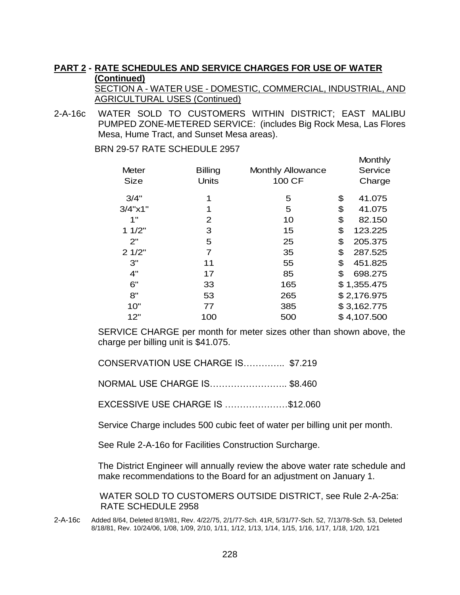#### **PART 2 - RATE SCHEDULES AND SERVICE CHARGES FOR USE OF WATER (Continued)**  SECTION A - WATER USE - DOMESTIC, COMMERCIAL, INDUSTRIAL, AND

AGRICULTURAL USES (Continued)

**Monthly** 

2-A-16c WATER SOLD TO CUSTOMERS WITHIN DISTRICT; EAST MALIBU PUMPED ZONE-METERED SERVICE: (includes Big Rock Mesa, Las Flores Mesa, Hume Tract, and Sunset Mesa areas).

**BRN 29-57 RATE SCHEDULE 2957** 

|                     |                |                          | 17 IV IV 18 11 Y |
|---------------------|----------------|--------------------------|------------------|
| <b>Meter</b>        | <b>Billing</b> | <b>Monthly Allowance</b> | Service          |
| <b>Size</b>         | <b>Units</b>   | 100 CF                   | Charge           |
| 3/4"                | 1              | 5                        | \$<br>41.075     |
| $3/4$ " $\times$ 1" | 1              | 5                        | \$<br>41.075     |
| 1"                  | 2              | 10                       | \$<br>82.150     |
| 11/2"               | 3              | 15                       | \$<br>123.225    |
| 2"                  | 5              | 25                       | \$<br>205.375    |
| 21/2"               | 7              | 35                       | \$<br>287.525    |
| 3"                  | 11             | 55                       | \$<br>451.825    |
| 4"                  | 17             | 85                       | \$<br>698.275    |
| 6"                  | 33             | 165                      | \$1,355.475      |
| 8"                  | 53             | 265                      | \$2,176.975      |
| 10"                 | 77             | 385                      | \$3,162.775      |
| 12"                 | 100            | 500                      | \$4,107.500      |
|                     |                |                          |                  |

SERVICE CHARGE per month for meter sizes other than shown above, the charge per billing unit is \$41.075.

CONSERVATION USE CHARGE IS………….. \$7.219

NORMAL USE CHARGE IS…………………….. \$8.460

EXCESSIVE USE CHARGE IS …………………\$12.060

Service Charge includes 500 cubic feet of water per billing unit per month.

See Rule 2-A-16o for Facilities Construction Surcharge.

The District Engineer will annually review the above water rate schedule and make recommendations to the Board for an adjustment on January 1.

 WATER SOLD TO CUSTOMERS OUTSIDE DISTRICT, see Rule 2-A-25a: RATE SCHEDULE 2958

2-A-16c Added 8/64, Deleted 8/19/81, Rev. 4/22/75, 2/1/77-Sch. 41R, 5/31/77-Sch. 52, 7/13/78-Sch. 53, Deleted 8/18/81, Rev. 10/24/06, 1/08, 1/09, 2/10, 1/11, 1/12, 1/13, 1/14, 1/15, 1/16, 1/17, 1/18, 1/20, 1/21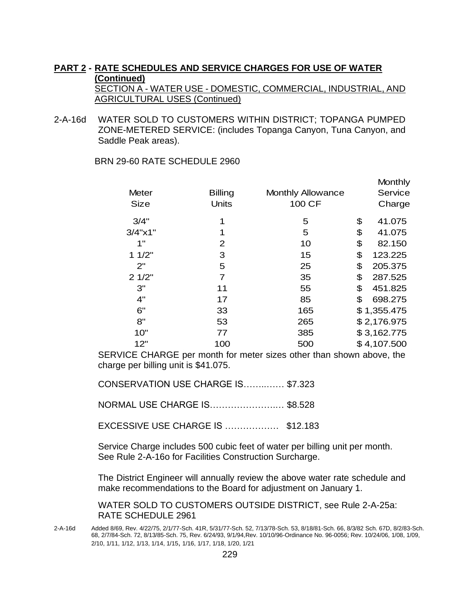2-A-16d WATER SOLD TO CUSTOMERS WITHIN DISTRICT; TOPANGA PUMPED ZONE-METERED SERVICE: (includes Topanga Canyon, Tuna Canyon, and Saddle Peak areas).

BRN 29-60 RATE SCHEDULE 2960

| <b>Meter</b><br><b>Size</b> | <b>Billing</b><br><b>Units</b> | <b>Monthly Allowance</b><br>100 CF | <b>Monthly</b><br>Service<br>Charge |
|-----------------------------|--------------------------------|------------------------------------|-------------------------------------|
| 3/4"                        | 1                              | 5                                  | \$<br>41.075                        |
| $3/4$ " $\times$ 1"         | 1                              | 5                                  | \$<br>41.075                        |
| 1"                          | 2                              | 10                                 | \$<br>82.150                        |
| 11/2"                       | 3                              | 15                                 | \$<br>123.225                       |
| 2"                          | 5                              | 25                                 | \$<br>205.375                       |
| 21/2"                       | $\overline{7}$                 | 35                                 | \$<br>287.525                       |
| 3"                          | 11                             | 55                                 | \$<br>451.825                       |
| 4"                          | 17                             | 85                                 | \$<br>698.275                       |
| 6"                          | 33                             | 165                                | \$1,355.475                         |
| 8"                          | 53                             | 265                                | \$2,176.975                         |
| 10"                         | 77                             | 385                                | \$3,162.775                         |
| 12"                         | 100                            | 500                                | \$4,107.500                         |

SERVICE CHARGE per month for meter sizes other than shown above, the charge per billing unit is \$41.075.

CONSERVATION USE CHARGE IS……..…… \$7.323

NORMAL USE CHARGE IS………………….… \$8.528

EXCESSIVE USE CHARGE IS ……………… \$12.183

Service Charge includes 500 cubic feet of water per billing unit per month. See Rule 2-A-16o for Facilities Construction Surcharge.

The District Engineer will annually review the above water rate schedule and make recommendations to the Board for adjustment on January 1.

WATER SOLD TO CUSTOMERS OUTSIDE DISTRICT, see Rule 2-A-25a: RATE SCHEDULE 2961

2-A-16d Added 8/69, Rev. 4/22/75, 2/1/77-Sch. 41R, 5/31/77-Sch. 52, 7/13/78-Sch. 53, 8/18/81-Sch. 66, 8/3/82 Sch. 67D, 8/2/83-Sch. 68, 2/7/84-Sch. 72, 8/13/85-Sch. 75, Rev. 6/24/93, 9/1/94,Rev. 10/10/96-Ordinance No. 96-0056; Rev. 10/24/06, 1/08, 1/09, 2/10, 1/11, 1/12, 1/13, 1/14, 1/15, 1/16, 1/17, 1/18, 1/20, 1/21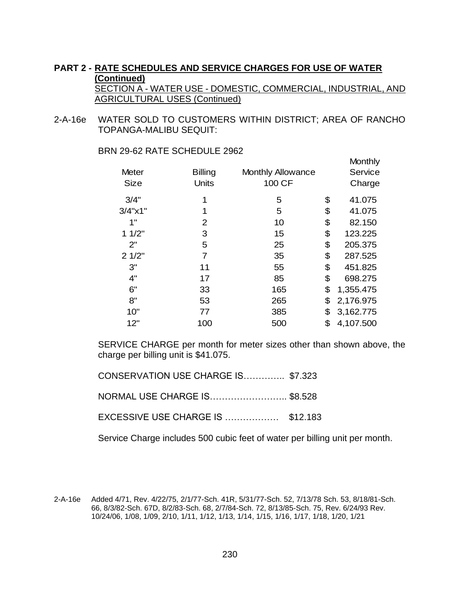2-A-16e WATER SOLD TO CUSTOMERS WITHIN DISTRICT; AREA OF RANCHO TOPANGA-MALIBU SEQUIT:

| <b>Meter</b>        | <b>Billing</b> | <b>Monthly Allowance</b> | <b>Service</b>  |
|---------------------|----------------|--------------------------|-----------------|
| <b>Size</b>         | <b>Units</b>   | 100 CF                   | Charge          |
| 3/4"                | 1              | 5                        | \$<br>41.075    |
| $3/4$ " $\times$ 1" | 1              | 5                        | \$<br>41.075    |
| 1"                  | 2              | 10                       | \$<br>82.150    |
| 11/2"               | 3              | 15                       | \$<br>123.225   |
| 2"                  | 5              | 25                       | \$<br>205.375   |
| 21/2"               | 7              | 35                       | \$<br>287.525   |
| 3"                  | 11             | 55                       | \$<br>451.825   |
| 4"                  | 17             | 85                       | \$<br>698.275   |
| 6"                  | 33             | 165                      | \$<br>1,355.475 |
| 8"                  | 53             | 265                      | \$<br>2,176.975 |
| 10"                 | 77             | 385                      | \$<br>3,162.775 |
| 12"                 | 100            | 500                      | \$<br>4,107.500 |

**Monthly** 

BRN 29-62 RATE SCHEDULE 2962

SERVICE CHARGE per month for meter sizes other than shown above, the charge per billing unit is \$41.075.

CONSERVATION USE CHARGE IS………….. \$7.323 NORMAL USE CHARGE IS…………………….. \$8.528

EXCESSIVE USE CHARGE IS ……………… \$12.183

Service Charge includes 500 cubic feet of water per billing unit per month.

2-A-16e Added 4/71, Rev. 4/22/75, 2/1/77-Sch. 41R, 5/31/77-Sch. 52, 7/13/78 Sch. 53, 8/18/81-Sch. 66, 8/3/82-Sch. 67D, 8/2/83-Sch. 68, 2/7/84-Sch. 72, 8/13/85-Sch. 75, Rev. 6/24/93 Rev. 10/24/06, 1/08, 1/09, 2/10, 1/11, 1/12, 1/13, 1/14, 1/15, 1/16, 1/17, 1/18, 1/20, 1/21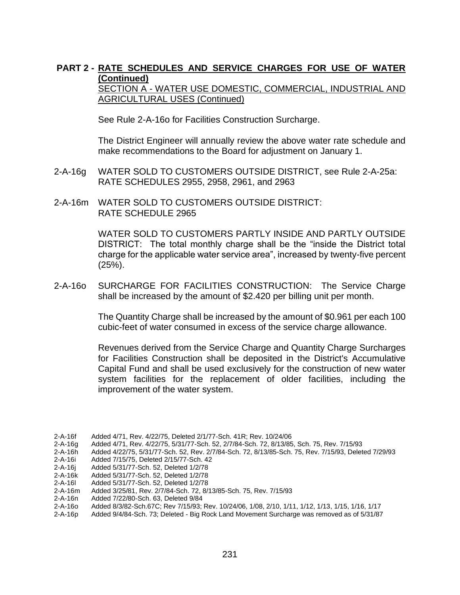SECTION A - WATER USE DOMESTIC, COMMERCIAL, INDUSTRIAL AND **AGRICULTURAL USES (Continued)** 

See Rule 2-A-16o for Facilities Construction Surcharge.

The District Engineer will annually review the above water rate schedule and make recommendations to the Board for adjustment on January 1.

- 2-A-16g WATER SOLD TO CUSTOMERS OUTSIDE DISTRICT, see Rule 2-A-25a: RATE SCHEDULES 2955, 2958, 2961, and 2963
- 2-A-16m WATER SOLD TO CUSTOMERS OUTSIDE DISTRICT: RATE SCHEDULE 2965

WATER SOLD TO CUSTOMERS PARTLY INSIDE AND PARTLY OUTSIDE DISTRICT: The total monthly charge shall be the "inside the District total charge for the applicable water service area", increased by twenty-five percent (25%).

2-A-16o SURCHARGE FOR FACILITIES CONSTRUCTION: The Service Charge shall be increased by the amount of \$2.420 per billing unit per month.

> The Quantity Charge shall be increased by the amount of \$0.961 per each 100 cubic-feet of water consumed in excess of the service charge allowance.

> Revenues derived from the Service Charge and Quantity Charge Surcharges for Facilities Construction shall be deposited in the District's Accumulative Capital Fund and shall be used exclusively for the construction of new water system facilities for the replacement of older facilities, including the improvement of the water system.

2-A-16h Added 4/22/75, 5/31/77-Sch. 52, Rev. 2/7/84-Sch. 72, 8/13/85-Sch. 75, Rev. 7/15/93, Deleted 7/29/93

<sup>2-</sup>A-16f Added 4/71, Rev. 4/22/75, Deleted 2/1/77-Sch. 41R; Rev. 10/24/06

<sup>2-</sup>A-16g Added 4/71, Rev. 4/22/75, 5/31/77-Sch. 52, 2/7/84-Sch. 72, 8/13/85, Sch. 75, Rev. 7/15/93

<sup>2-</sup>A-16i Added 7/15/75, Deleted 2/15/77-Sch. 42

<sup>2-</sup>A-16j Added 5/31/77-Sch. 52, Deleted 1/2/78

<sup>2-</sup>A-16k Added 5/31/77-Sch. 52, Deleted 1/2/78

<sup>2-</sup>A-16l Added 5/31/77-Sch. 52, Deleted 1/2/78

<sup>2-</sup>A-16m Added 3/25/81, Rev. 2/7/84-Sch. 72, 8/13/85-Sch. 75, Rev. 7/15/93

<sup>2-</sup>A-16n Added 7/22/80-Sch. 63, Deleted 9/84

<sup>2-</sup>A-16o Added 8/3/82-Sch.67C; Rev 7/15/93; Rev. 10/24/06, 1/08, 2/10, 1/11, 1/12, 1/13, 1/15, 1/16, 1/17

<sup>2-</sup>A-16p Added 9/4/84-Sch. 73; Deleted - Big Rock Land Movement Surcharge was removed as of 5/31/87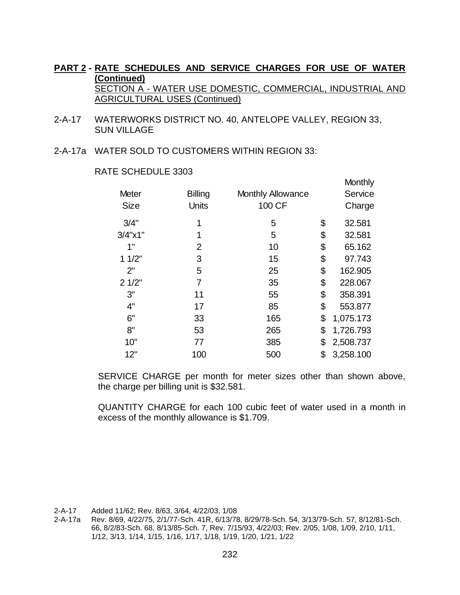- 2-A-17 WATERWORKS DISTRICT NO. 40, ANTELOPE VALLEY, REGION 33, SUN VILLAGE
- 2-A-17a WATER SOLD TO CUSTOMERS WITHIN REGION 33:

#### RATE SCHEDULE 3303

|                     |                |                          | <u>IVIVI ILI II Y</u> |
|---------------------|----------------|--------------------------|-----------------------|
| <b>Meter</b>        | <b>Billing</b> | <b>Monthly Allowance</b> | Service               |
| <b>Size</b>         | <b>Units</b>   | 100 CF                   | Charge                |
| 3/4"                | 1              | 5                        | \$<br>32.581          |
| $3/4$ " $\times$ 1" | 1              | 5                        | \$<br>32.581          |
| 1"                  | 2              | 10                       | \$<br>65.162          |
| 11/2"               | 3              | 15                       | \$<br>97.743          |
| 2"                  | 5              | 25                       | \$<br>162.905         |
| 21/2"               | 7              | 35                       | \$<br>228.067         |
| 3"                  | 11             | 55                       | \$<br>358.391         |
| 4"                  | 17             | 85                       | \$<br>553.877         |
| 6"                  | 33             | 165                      | \$<br>1,075.173       |
| 8"                  | 53             | 265                      | \$<br>1,726.793       |
| 10"                 | 77             | 385                      | \$<br>2,508.737       |
| 12"                 | 100            | 500                      | \$<br>3,258.100       |
|                     |                |                          |                       |

Monthly

SERVICE CHARGE per month for meter sizes other than shown above, the charge per billing unit is \$32.581.

QUANTITY CHARGE for each 100 cubic feet of water used in a month in excess of the monthly allowance is \$1.709.

2-A-17 Added 11/62; Rev. 8/63, 3/64, 4/22/03, 1/08

2-A-17a Rev. 8/69, 4/22/75, 2/1/77-Sch. 41R, 6/13/78, 8/29/78-Sch. 54, 3/13/79-Sch. 57, 8/12/81-Sch. 66, 8/2/83-Sch. 68, 8/13/85-Sch. 7, Rev. 7/15/93, 4/22/03; Rev. 2/05, 1/08, 1/09, 2/10, 1/11, 1/12, 3/13, 1/14, 1/15, 1/16, 1/17, 1/18, 1/19, 1/20, 1/21, 1/22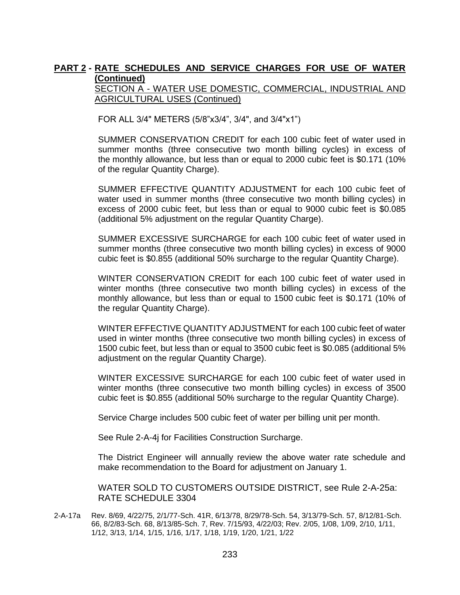SECTION A - WATER USE DOMESTIC, COMMERCIAL, INDUSTRIAL AND AGRICULTURAL USES (Continued)

FOR ALL 3/4" METERS (5/8"x3/4", 3/4", and 3/4"x1")

SUMMER CONSERVATION CREDIT for each 100 cubic feet of water used in summer months (three consecutive two month billing cycles) in excess of the monthly allowance, but less than or equal to 2000 cubic feet is \$0.171 (10% of the regular Quantity Charge).

SUMMER EFFECTIVE QUANTITY ADJUSTMENT for each 100 cubic feet of water used in summer months (three consecutive two month billing cycles) in excess of 2000 cubic feet, but less than or equal to 9000 cubic feet is \$0.085 (additional 5% adjustment on the regular Quantity Charge).

SUMMER EXCESSIVE SURCHARGE for each 100 cubic feet of water used in summer months (three consecutive two month billing cycles) in excess of 9000 cubic feet is \$0.855 (additional 50% surcharge to the regular Quantity Charge).

WINTER CONSERVATION CREDIT for each 100 cubic feet of water used in winter months (three consecutive two month billing cycles) in excess of the monthly allowance, but less than or equal to 1500 cubic feet is \$0.171 (10% of the regular Quantity Charge).

WINTER EFFECTIVE QUANTITY ADJUSTMENT for each 100 cubic feet of water used in winter months (three consecutive two month billing cycles) in excess of 1500 cubic feet, but less than or equal to 3500 cubic feet is \$0.085 (additional 5% adjustment on the regular Quantity Charge).

WINTER EXCESSIVE SURCHARGE for each 100 cubic feet of water used in winter months (three consecutive two month billing cycles) in excess of 3500 cubic feet is \$0.855 (additional 50% surcharge to the regular Quantity Charge).

Service Charge includes 500 cubic feet of water per billing unit per month.

See Rule 2-A-4j for Facilities Construction Surcharge.

The District Engineer will annually review the above water rate schedule and make recommendation to the Board for adjustment on January 1.

WATER SOLD TO CUSTOMERS OUTSIDE DISTRICT, see Rule 2-A-25a: RATE SCHEDULE 3304

2-A-17a Rev. 8/69, 4/22/75, 2/1/77-Sch. 41R, 6/13/78, 8/29/78-Sch. 54, 3/13/79-Sch. 57, 8/12/81-Sch. 66, 8/2/83-Sch. 68, 8/13/85-Sch. 7, Rev. 7/15/93, 4/22/03; Rev. 2/05, 1/08, 1/09, 2/10, 1/11, 1/12, 3/13, 1/14, 1/15, 1/16, 1/17, 1/18, 1/19, 1/20, 1/21, 1/22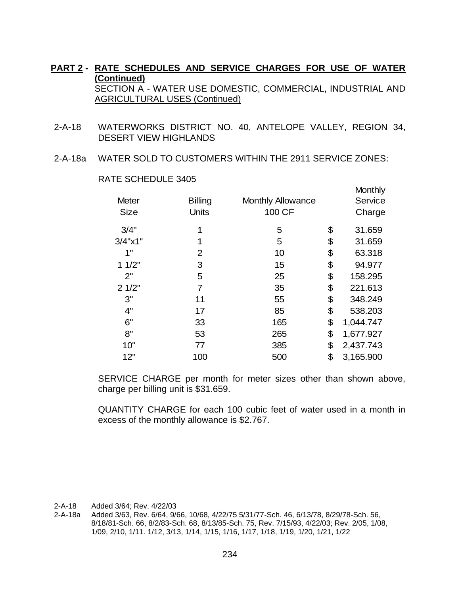- 2-A-18 WATERWORKS DISTRICT NO. 40, ANTELOPE VALLEY, REGION 34, DESERT VIEW HIGHLANDS
- 2-A-18a WATER SOLD TO CUSTOMERS WITHIN THE 2911 SERVICE ZONES:

| <b>Billing</b> | <b>Monthly Allowance</b> |                  | Monthly<br>Service<br>Charge |
|----------------|--------------------------|------------------|------------------------------|
|                |                          |                  | 31.659                       |
| 1              |                          |                  | 31.659                       |
| 2              | 10                       | \$               | 63.318                       |
| 3              | 15                       | \$               | 94.977                       |
| 5              | 25                       | \$               | 158.295                      |
| 7              | 35                       | \$               | 221.613                      |
| 11             | 55                       | \$               | 348.249                      |
| 17             | 85                       | \$               | 538.203                      |
| 33             | 165                      | \$               | 1,044.747                    |
| 53             | 265                      | \$               | 1,677.927                    |
| 77             | 385                      | \$               | 2,437.743                    |
| 100            | 500                      | \$               | 3,165.900                    |
|                | Units<br>1               | 100 CF<br>5<br>5 | \$<br>\$                     |

RATE SCHEDULE 3405

SERVICE CHARGE per month for meter sizes other than shown above, charge per billing unit is \$31.659.

QUANTITY CHARGE for each 100 cubic feet of water used in a month in excess of the monthly allowance is \$2.767.

2-A-18 Added 3/64; Rev. 4/22/03

2-A-18a Added 3/63, Rev. 6/64, 9/66, 10/68, 4/22/75 5/31/77-Sch. 46, 6/13/78, 8/29/78-Sch. 56, 8/18/81-Sch. 66, 8/2/83-Sch. 68, 8/13/85-Sch. 75, Rev. 7/15/93, 4/22/03; Rev. 2/05, 1/08, 1/09, 2/10, 1/11. 1/12, 3/13, 1/14, 1/15, 1/16, 1/17, 1/18, 1/19, 1/20, 1/21, 1/22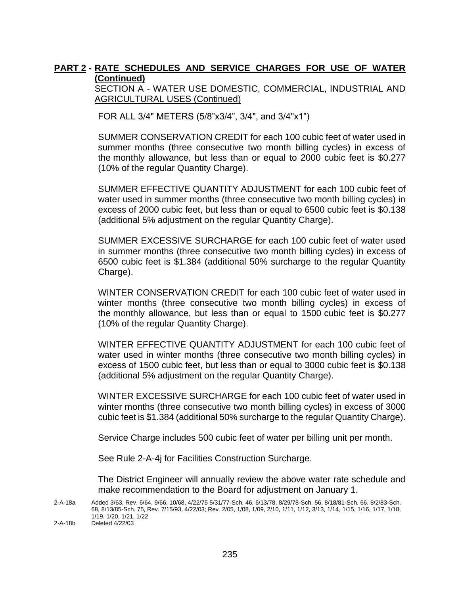SECTION A - WATER USE DOMESTIC, COMMERCIAL, INDUSTRIAL AND AGRICULTURAL USES (Continued)

FOR ALL 3/4" METERS (5/8"x3/4", 3/4", and 3/4"x1")

SUMMER CONSERVATION CREDIT for each 100 cubic feet of water used in summer months (three consecutive two month billing cycles) in excess of the monthly allowance, but less than or equal to 2000 cubic feet is \$0.277 (10% of the regular Quantity Charge).

SUMMER EFFECTIVE QUANTITY ADJUSTMENT for each 100 cubic feet of water used in summer months (three consecutive two month billing cycles) in excess of 2000 cubic feet, but less than or equal to 6500 cubic feet is \$0.138 (additional 5% adjustment on the regular Quantity Charge).

SUMMER EXCESSIVE SURCHARGE for each 100 cubic feet of water used in summer months (three consecutive two month billing cycles) in excess of 6500 cubic feet is \$1.384 (additional 50% surcharge to the regular Quantity Charge).

WINTER CONSERVATION CREDIT for each 100 cubic feet of water used in winter months (three consecutive two month billing cycles) in excess of the monthly allowance, but less than or equal to 1500 cubic feet is \$0.277 (10% of the regular Quantity Charge).

WINTER EFFECTIVE QUANTITY ADJUSTMENT for each 100 cubic feet of water used in winter months (three consecutive two month billing cycles) in excess of 1500 cubic feet, but less than or equal to 3000 cubic feet is \$0.138 (additional 5% adjustment on the regular Quantity Charge).

WINTER EXCESSIVE SURCHARGE for each 100 cubic feet of water used in winter months (three consecutive two month billing cycles) in excess of 3000 cubic feet is \$1.384 (additional 50% surcharge to the regular Quantity Charge).

Service Charge includes 500 cubic feet of water per billing unit per month.

See Rule 2-A-4j for Facilities Construction Surcharge.

The District Engineer will annually review the above water rate schedule and make recommendation to the Board for adjustment on January 1.

2-A-18b Deleted 4/22/03

<sup>2-</sup>A-18a Added 3/63, Rev. 6/64, 9/66, 10/68, 4/22/75 5/31/77-Sch. 46, 6/13/78, 8/29/78-Sch. 56, 8/18/81-Sch. 66, 8/2/83-Sch. 68, 8/13/85-Sch. 75, Rev. 7/15/93, 4/22/03; Rev. 2/05, 1/08, 1/09, 2/10, 1/11, 1/12, 3/13, 1/14, 1/15, 1/16, 1/17, 1/18, 1/19, 1/20, 1/21, 1/22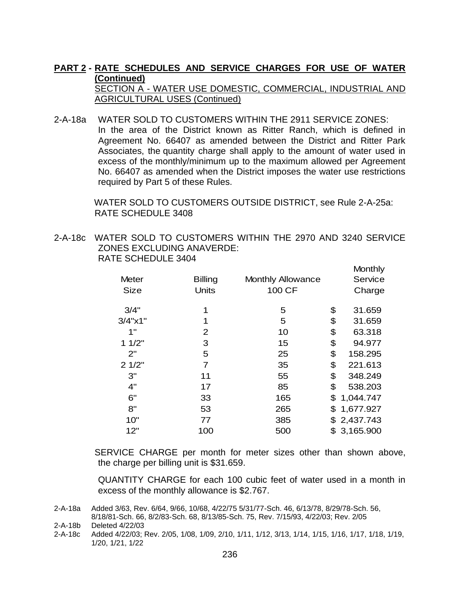SECTION A - WATER USE DOMESTIC, COMMERCIAL, INDUSTRIAL AND AGRICULTURAL USES (Continued)

# 2-A-18a WATER SOLD TO CUSTOMERS WITHIN THE 2911 SERVICE ZONES:

In the area of the District known as Ritter Ranch, which is defined in Agreement No. 66407 as amended between the District and Ritter Park Associates, the quantity charge shall apply to the amount of water used in excess of the monthly/minimum up to the maximum allowed per Agreement No. 66407 as amended when the District imposes the water use restrictions required by Part 5 of these Rules.

 WATER SOLD TO CUSTOMERS OUTSIDE DISTRICT, see Rule 2-A-25a: RATE SCHEDULE 3408

2-A-18c WATER SOLD TO CUSTOMERS WITHIN THE 2970 AND 3240 SERVICE ZONES EXCLUDING ANAVERDE: RATE SCHEDULE 3404

|                     |                |                          | Monthly         |
|---------------------|----------------|--------------------------|-----------------|
| Meter               | <b>Billing</b> | <b>Monthly Allowance</b> | Service         |
| <b>Size</b>         | <b>Units</b>   | 100 CF                   | Charge          |
| 3/4"                | 1              | 5                        | \$<br>31.659    |
| $3/4$ " $\times$ 1" | 1              | 5                        | \$<br>31.659    |
| 1"                  | 2              | 10                       | \$<br>63.318    |
| 11/2"               | 3              | 15                       | \$<br>94.977    |
| 2"                  | 5              | 25                       | \$<br>158.295   |
| 21/2"               | 7              | 35                       | \$<br>221.613   |
| 3"                  | 11             | 55                       | \$<br>348.249   |
| 4"                  | 17             | 85                       | \$<br>538.203   |
| 6"                  | 33             | 165                      | \$<br>1,044.747 |
| 8"                  | 53             | 265                      | \$<br>1,677.927 |
| 10"                 | 77             | 385                      | \$<br>2,437.743 |
| 12"                 | 100            | 500                      | \$<br>3,165.900 |

SERVICE CHARGE per month for meter sizes other than shown above, the charge per billing unit is \$31.659.

QUANTITY CHARGE for each 100 cubic feet of water used in a month in excess of the monthly allowance is \$2.767.

2-A-18b Deleted 4/22/03

2-A-18c Added 4/22/03; Rev. 2/05, 1/08, 1/09, 2/10, 1/11, 1/12, 3/13, 1/14, 1/15, 1/16, 1/17, 1/18, 1/19, 1/20, 1/21, 1/22

<sup>2-</sup>A-18a Added 3/63, Rev. 6/64, 9/66, 10/68, 4/22/75 5/31/77-Sch. 46, 6/13/78, 8/29/78-Sch. 56, 8/18/81-Sch. 66, 8/2/83-Sch. 68, 8/13/85-Sch. 75, Rev. 7/15/93, 4/22/03; Rev. 2/05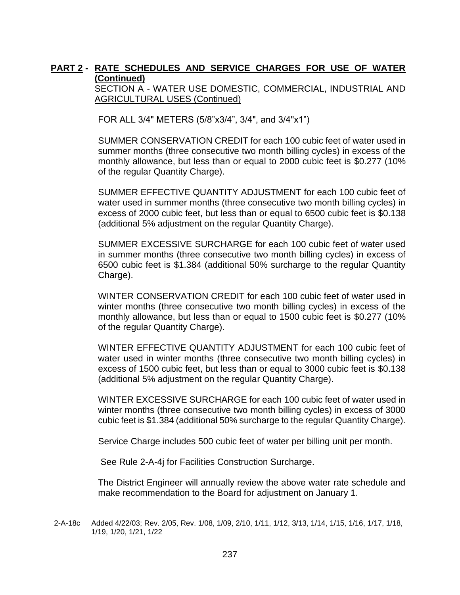SECTION A - WATER USE DOMESTIC, COMMERCIAL, INDUSTRIAL AND AGRICULTURAL USES (Continued)

FOR ALL 3/4" METERS (5/8"x3/4", 3/4", and 3/4"x1")

SUMMER CONSERVATION CREDIT for each 100 cubic feet of water used in summer months (three consecutive two month billing cycles) in excess of the monthly allowance, but less than or equal to 2000 cubic feet is \$0.277 (10% of the regular Quantity Charge).

SUMMER EFFECTIVE QUANTITY ADJUSTMENT for each 100 cubic feet of water used in summer months (three consecutive two month billing cycles) in excess of 2000 cubic feet, but less than or equal to 6500 cubic feet is \$0.138 (additional 5% adjustment on the regular Quantity Charge).

SUMMER EXCESSIVE SURCHARGE for each 100 cubic feet of water used in summer months (three consecutive two month billing cycles) in excess of 6500 cubic feet is \$1.384 (additional 50% surcharge to the regular Quantity Charge).

WINTER CONSERVATION CREDIT for each 100 cubic feet of water used in winter months (three consecutive two month billing cycles) in excess of the monthly allowance, but less than or equal to 1500 cubic feet is \$0.277 (10% of the regular Quantity Charge).

WINTER EFFECTIVE QUANTITY ADJUSTMENT for each 100 cubic feet of water used in winter months (three consecutive two month billing cycles) in excess of 1500 cubic feet, but less than or equal to 3000 cubic feet is \$0.138 (additional 5% adjustment on the regular Quantity Charge).

WINTER EXCESSIVE SURCHARGE for each 100 cubic feet of water used in winter months (three consecutive two month billing cycles) in excess of 3000 cubic feet is \$1.384 (additional 50% surcharge to the regular Quantity Charge).

Service Charge includes 500 cubic feet of water per billing unit per month.

See Rule 2-A-4j for Facilities Construction Surcharge.

The District Engineer will annually review the above water rate schedule and make recommendation to the Board for adjustment on January 1.

<sup>2-</sup>A-18c Added 4/22/03; Rev. 2/05, Rev. 1/08, 1/09, 2/10, 1/11, 1/12, 3/13, 1/14, 1/15, 1/16, 1/17, 1/18, 1/19, 1/20, 1/21, 1/22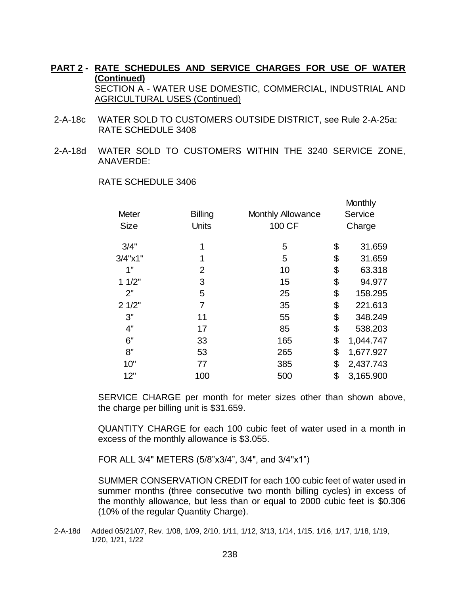- 2-A-18c WATER SOLD TO CUSTOMERS OUTSIDE DISTRICT, see Rule 2-A-25a: RATE SCHEDULE 3408
- 2-A-18d WATER SOLD TO CUSTOMERS WITHIN THE 3240 SERVICE ZONE, ANAVERDE:

|                     |                |                          | Monthly         |
|---------------------|----------------|--------------------------|-----------------|
| <b>Meter</b>        | <b>Billing</b> | <b>Monthly Allowance</b> | Service         |
| <b>Size</b>         | <b>Units</b>   | 100 CF                   | Charge          |
| 3/4"                | 1              | 5                        | \$<br>31.659    |
| $3/4$ " $\times$ 1" | 1              | 5                        | \$<br>31.659    |
| 1"                  | 2              | 10                       | \$<br>63.318    |
| 11/2"               | 3              | 15                       | \$<br>94.977    |
| 2"                  | 5              | 25                       | \$<br>158.295   |
| 21/2"               | 7              | 35                       | \$<br>221.613   |
| 3"                  | 11             | 55                       | \$<br>348.249   |
| 4"                  | 17             | 85                       | \$<br>538.203   |
| 6"                  | 33             | 165                      | \$<br>1,044.747 |
| 8"                  | 53             | 265                      | \$<br>1,677.927 |
| 10"                 | 77             | 385                      | \$<br>2,437.743 |
| 12"                 | 100            | 500                      | \$<br>3,165.900 |

RATE SCHEDULE 3406

SERVICE CHARGE per month for meter sizes other than shown above, the charge per billing unit is \$31.659.

QUANTITY CHARGE for each 100 cubic feet of water used in a month in excess of the monthly allowance is \$3.055.

FOR ALL 3/4" METERS (5/8"x3/4", 3/4", and 3/4"x1")

SUMMER CONSERVATION CREDIT for each 100 cubic feet of water used in summer months (three consecutive two month billing cycles) in excess of the monthly allowance, but less than or equal to 2000 cubic feet is \$0.306 (10% of the regular Quantity Charge).

2-A-18d Added 05/21/07, Rev. 1/08, 1/09, 2/10, 1/11, 1/12, 3/13, 1/14, 1/15, 1/16, 1/17, 1/18, 1/19, 1/20, 1/21, 1/22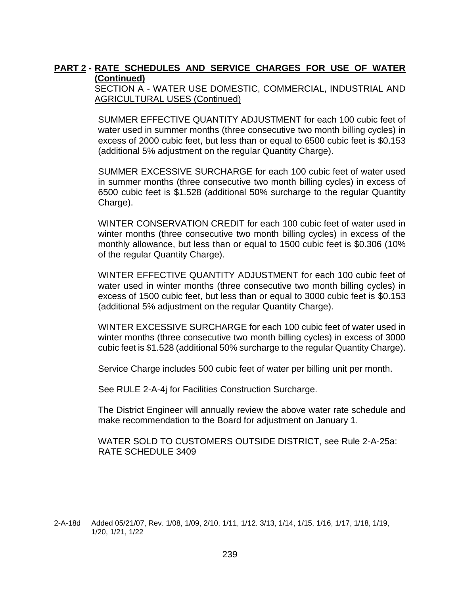SECTION A - WATER USE DOMESTIC, COMMERCIAL, INDUSTRIAL AND AGRICULTURAL USES (Continued)

SUMMER EFFECTIVE QUANTITY ADJUSTMENT for each 100 cubic feet of water used in summer months (three consecutive two month billing cycles) in excess of 2000 cubic feet, but less than or equal to 6500 cubic feet is \$0.153 (additional 5% adjustment on the regular Quantity Charge).

SUMMER EXCESSIVE SURCHARGE for each 100 cubic feet of water used in summer months (three consecutive two month billing cycles) in excess of 6500 cubic feet is \$1.528 (additional 50% surcharge to the regular Quantity Charge).

WINTER CONSERVATION CREDIT for each 100 cubic feet of water used in winter months (three consecutive two month billing cycles) in excess of the monthly allowance, but less than or equal to 1500 cubic feet is \$0.306 (10% of the regular Quantity Charge).

WINTER EFFECTIVE QUANTITY ADJUSTMENT for each 100 cubic feet of water used in winter months (three consecutive two month billing cycles) in excess of 1500 cubic feet, but less than or equal to 3000 cubic feet is \$0.153 (additional 5% adjustment on the regular Quantity Charge).

WINTER EXCESSIVE SURCHARGE for each 100 cubic feet of water used in winter months (three consecutive two month billing cycles) in excess of 3000 cubic feet is \$1.528 (additional 50% surcharge to the regular Quantity Charge).

Service Charge includes 500 cubic feet of water per billing unit per month.

See RULE 2-A-4j for Facilities Construction Surcharge.

The District Engineer will annually review the above water rate schedule and make recommendation to the Board for adjustment on January 1.

WATER SOLD TO CUSTOMERS OUTSIDE DISTRICT, see Rule 2-A-25a: RATE SCHEDULE 3409

2-A-18d Added 05/21/07, Rev. 1/08, 1/09, 2/10, 1/11, 1/12. 3/13, 1/14, 1/15, 1/16, 1/17, 1/18, 1/19, 1/20, 1/21, 1/22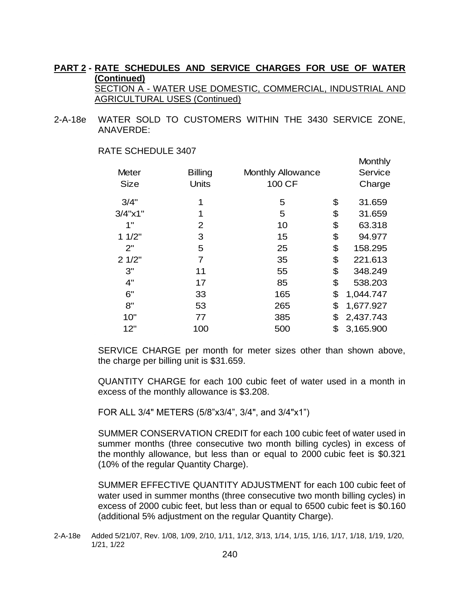2-A-18e WATER SOLD TO CUSTOMERS WITHIN THE 3430 SERVICE ZONE, ANAVERDE:

|                     |                |                          | <b>IVIUI IU IIV</b> |
|---------------------|----------------|--------------------------|---------------------|
| <b>Meter</b>        | <b>Billing</b> | <b>Monthly Allowance</b> | Service             |
| <b>Size</b>         | Units          | 100 CF                   | Charge              |
| 3/4"                | 1              | 5                        | \$<br>31.659        |
| $3/4$ " $\times$ 1" | 1              | 5                        | \$<br>31.659        |
| 1"                  | 2              | 10                       | \$<br>63.318        |
| 11/2"               | 3              | 15                       | \$<br>94.977        |
| 2"                  | 5              | 25                       | \$<br>158.295       |
| 21/2"               | 7              | 35                       | \$<br>221.613       |
| 3"                  | 11             | 55                       | \$<br>348.249       |
| 4"                  | 17             | 85                       | \$<br>538.203       |
| 6"                  | 33             | 165                      | \$<br>1,044.747     |
| 8"                  | 53             | 265                      | \$<br>1,677.927     |
| 10"                 | 77             | 385                      | \$<br>2,437.743     |
| 12"                 | 100            | 500                      | \$<br>3,165.900     |
|                     |                |                          |                     |

Monthly

#### RATE SCHEDULE 3407

SERVICE CHARGE per month for meter sizes other than shown above, the charge per billing unit is \$31.659.

QUANTITY CHARGE for each 100 cubic feet of water used in a month in excess of the monthly allowance is \$3.208.

FOR ALL 3/4" METERS (5/8"x3/4", 3/4", and 3/4"x1")

SUMMER CONSERVATION CREDIT for each 100 cubic feet of water used in summer months (three consecutive two month billing cycles) in excess of the monthly allowance, but less than or equal to 2000 cubic feet is \$0.321 (10% of the regular Quantity Charge).

SUMMER EFFECTIVE QUANTITY ADJUSTMENT for each 100 cubic feet of water used in summer months (three consecutive two month billing cycles) in excess of 2000 cubic feet, but less than or equal to 6500 cubic feet is \$0.160 (additional 5% adjustment on the regular Quantity Charge).

<sup>2-</sup>A-18e Added 5/21/07, Rev. 1/08, 1/09, 2/10, 1/11, 1/12, 3/13, 1/14, 1/15, 1/16, 1/17, 1/18, 1/19, 1/20, 1/21, 1/22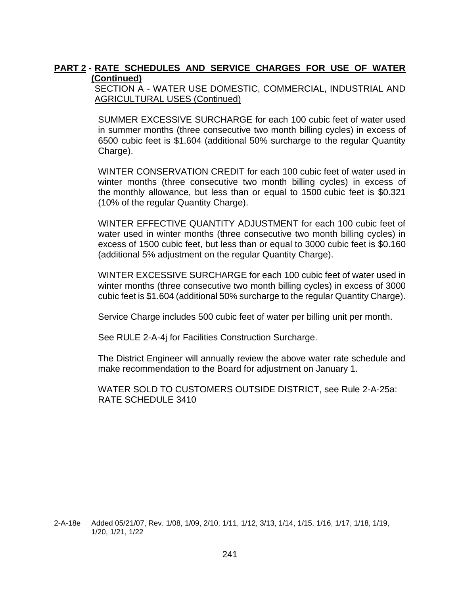SECTION A - WATER USE DOMESTIC, COMMERCIAL, INDUSTRIAL AND AGRICULTURAL USES (Continued)

SUMMER EXCESSIVE SURCHARGE for each 100 cubic feet of water used in summer months (three consecutive two month billing cycles) in excess of 6500 cubic feet is \$1.604 (additional 50% surcharge to the regular Quantity Charge).

WINTER CONSERVATION CREDIT for each 100 cubic feet of water used in winter months (three consecutive two month billing cycles) in excess of the monthly allowance, but less than or equal to 1500 cubic feet is \$0.321 (10% of the regular Quantity Charge).

WINTER EFFECTIVE QUANTITY ADJUSTMENT for each 100 cubic feet of water used in winter months (three consecutive two month billing cycles) in excess of 1500 cubic feet, but less than or equal to 3000 cubic feet is \$0.160 (additional 5% adjustment on the regular Quantity Charge).

WINTER EXCESSIVE SURCHARGE for each 100 cubic feet of water used in winter months (three consecutive two month billing cycles) in excess of 3000 cubic feet is \$1.604 (additional 50% surcharge to the regular Quantity Charge).

Service Charge includes 500 cubic feet of water per billing unit per month.

See RULE 2-A-4j for Facilities Construction Surcharge.

The District Engineer will annually review the above water rate schedule and make recommendation to the Board for adjustment on January 1.

WATER SOLD TO CUSTOMERS OUTSIDE DISTRICT, see Rule 2-A-25a: RATE SCHEDULE 3410

<sup>2-</sup>A-18e Added 05/21/07, Rev. 1/08, 1/09, 2/10, 1/11, 1/12, 3/13, 1/14, 1/15, 1/16, 1/17, 1/18, 1/19, 1/20, 1/21, 1/22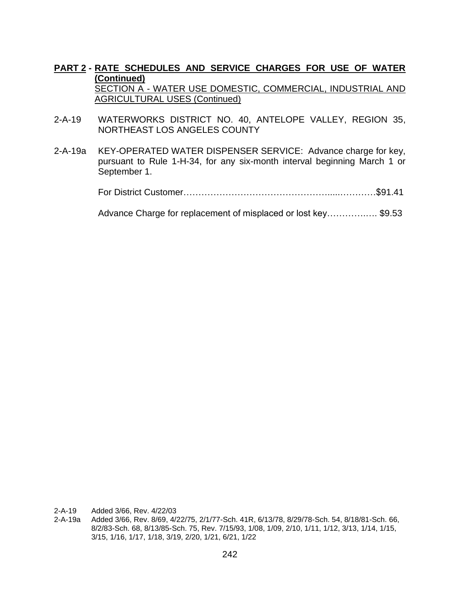- 2-A-19 WATERWORKS DISTRICT NO. 40, ANTELOPE VALLEY, REGION 35, NORTHEAST LOS ANGELES COUNTY
- 2-A-19a KEY-OPERATED WATER DISPENSER SERVICE: Advance charge for key, pursuant to Rule 1-H-34, for any six-month interval beginning March 1 or September 1.

For District Customer………………………………………….....…………\$91.41

Advance Charge for replacement of misplaced or lost key………….…. \$9.53

2-A-19 Added 3/66, Rev. 4/22/03

2-A-19a Added 3/66, Rev. 8/69, 4/22/75, 2/1/77-Sch. 41R, 6/13/78, 8/29/78-Sch. 54, 8/18/81-Sch. 66, 8/2/83-Sch. 68, 8/13/85-Sch. 75, Rev. 7/15/93, 1/08, 1/09, 2/10, 1/11, 1/12, 3/13, 1/14, 1/15, 3/15, 1/16, 1/17, 1/18, 3/19, 2/20, 1/21, 6/21, 1/22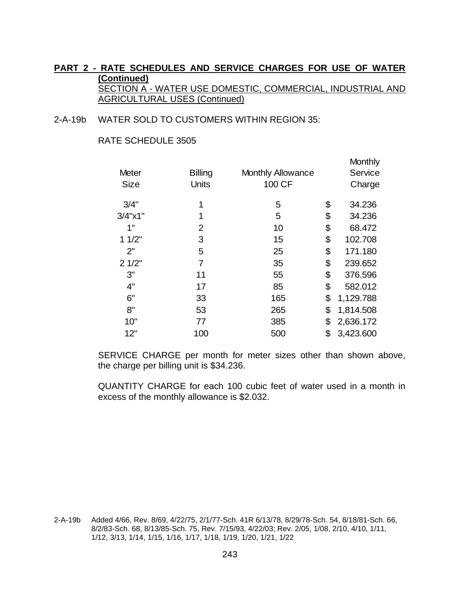#### 2-A-19b WATER SOLD TO CUSTOMERS WITHIN REGION 35:

#### RATE SCHEDULE 3505

|                |                |                          | Monthly<br>Service |
|----------------|----------------|--------------------------|--------------------|
| <b>Units</b>   | 100 CF         |                          | Charge             |
| 1              | 5              | \$                       | 34.236             |
| 1              | 5              | \$                       | 34.236             |
| 2              | 10             | \$                       | 68.472             |
| 3              | 15             | \$                       | 102.708            |
| 5              | 25             | \$                       | 171.180            |
| $\overline{7}$ | 35             | \$                       | 239.652            |
| 11             | 55             | \$                       | 376.596            |
| 17             | 85             | \$                       | 582.012            |
| 33             | 165            | \$                       | 1,129.788          |
| 53             | 265            | \$                       | 1,814.508          |
| 77             | 385            | \$                       | 2,636.172          |
| 100            | 500            | \$                       | 3,423.600          |
|                | <b>Billing</b> | <b>Monthly Allowance</b> |                    |

SERVICE CHARGE per month for meter sizes other than shown above, the charge per billing unit is \$34.236.

QUANTITY CHARGE for each 100 cubic feet of water used in a month in excess of the monthly allowance is \$2.032.

2-A-19b Added 4/66, Rev. 8/69, 4/22/75, 2/1/77-Sch. 41R 6/13/78, 8/29/78-Sch. 54, 8/18/81-Sch. 66, 8/2/83-Sch. 68, 8/13/85-Sch. 75, Rev. 7/15/93, 4/22/03; Rev. 2/05, 1/08, 2/10, 4/10, 1/11, 1/12, 3/13, 1/14, 1/15, 1/16, 1/17, 1/18, 1/19, 1/20, 1/21, 1/22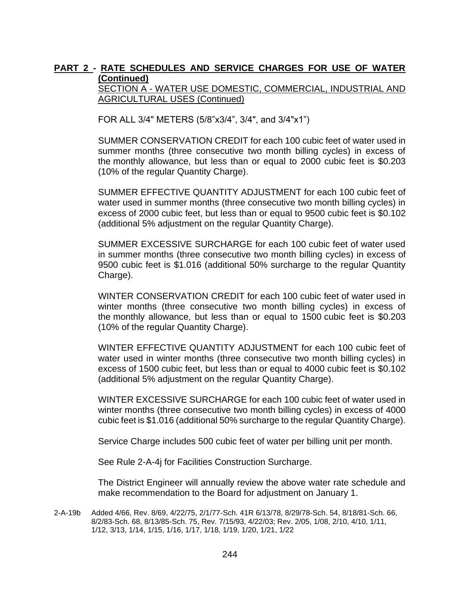SECTION A - WATER USE DOMESTIC, COMMERCIAL, INDUSTRIAL AND AGRICULTURAL USES (Continued)

FOR ALL 3/4" METERS (5/8"x3/4", 3/4", and 3/4"x1")

SUMMER CONSERVATION CREDIT for each 100 cubic feet of water used in summer months (three consecutive two month billing cycles) in excess of the monthly allowance, but less than or equal to 2000 cubic feet is \$0.203 (10% of the regular Quantity Charge).

SUMMER EFFECTIVE QUANTITY ADJUSTMENT for each 100 cubic feet of water used in summer months (three consecutive two month billing cycles) in excess of 2000 cubic feet, but less than or equal to 9500 cubic feet is \$0.102 (additional 5% adjustment on the regular Quantity Charge).

SUMMER EXCESSIVE SURCHARGE for each 100 cubic feet of water used in summer months (three consecutive two month billing cycles) in excess of 9500 cubic feet is \$1.016 (additional 50% surcharge to the regular Quantity Charge).

WINTER CONSERVATION CREDIT for each 100 cubic feet of water used in winter months (three consecutive two month billing cycles) in excess of the monthly allowance, but less than or equal to 1500 cubic feet is \$0.203 (10% of the regular Quantity Charge).

WINTER EFFECTIVE QUANTITY ADJUSTMENT for each 100 cubic feet of water used in winter months (three consecutive two month billing cycles) in excess of 1500 cubic feet, but less than or equal to 4000 cubic feet is \$0.102 (additional 5% adjustment on the regular Quantity Charge).

WINTER EXCESSIVE SURCHARGE for each 100 cubic feet of water used in winter months (three consecutive two month billing cycles) in excess of 4000 cubic feet is \$1.016 (additional 50% surcharge to the regular Quantity Charge).

Service Charge includes 500 cubic feet of water per billing unit per month.

See Rule 2-A-4j for Facilities Construction Surcharge.

The District Engineer will annually review the above water rate schedule and make recommendation to the Board for adjustment on January 1.

2-A-19b Added 4/66, Rev. 8/69, 4/22/75, 2/1/77-Sch. 41R 6/13/78, 8/29/78-Sch. 54, 8/18/81-Sch. 66, 8/2/83-Sch. 68, 8/13/85-Sch. 75, Rev. 7/15/93, 4/22/03; Rev. 2/05, 1/08, 2/10, 4/10, 1/11, 1/12, 3/13, 1/14, 1/15, 1/16, 1/17, 1/18, 1/19, 1/20, 1/21, 1/22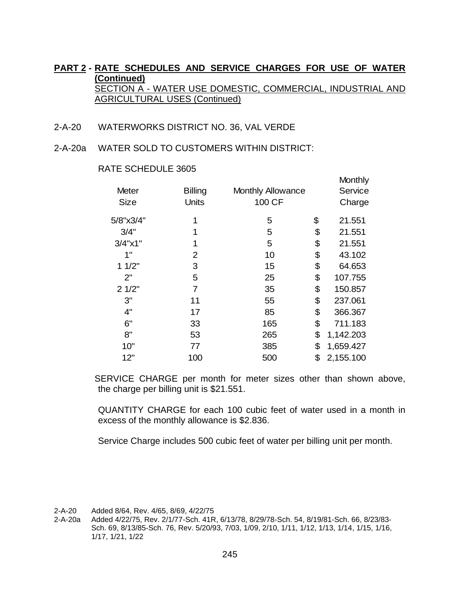- 2-A-20 WATERWORKS DISTRICT NO. 36, VAL VERDE
- 2-A-20a WATER SOLD TO CUSTOMERS WITHIN DISTRICT:

| <b>Meter</b><br><b>Size</b> | <b>Billing</b><br>Units | <b>Monthly Allowance</b><br>100 CF | Monthly<br>Service<br>Charge |
|-----------------------------|-------------------------|------------------------------------|------------------------------|
| 5/8"x3/4"                   | 1                       | 5                                  | \$<br>21.551                 |
| 3/4"                        | 1                       | 5                                  | \$<br>21.551                 |
| $3/4$ " $\times$ 1"         | 1                       | 5                                  | \$<br>21.551                 |
| 1"                          | 2                       | 10                                 | \$<br>43.102                 |
| 11/2"                       | 3                       | 15                                 | \$<br>64.653                 |
| 2"                          | 5                       | 25                                 | \$<br>107.755                |
| 21/2"                       | 7                       | 35                                 | \$<br>150.857                |
| 3"                          | 11                      | 55                                 | \$<br>237.061                |
| 4"                          | 17                      | 85                                 | \$<br>366.367                |
| 6"                          | 33                      | 165                                | \$<br>711.183                |
| 8"                          | 53                      | 265                                | \$<br>1,142.203              |
| 10"                         | 77                      | 385                                | \$<br>1,659.427              |
| 12"                         | 100                     | 500                                | \$<br>2,155.100              |

#### RATE SCHEDULE 3605

SERVICE CHARGE per month for meter sizes other than shown above, the charge per billing unit is \$21.551.

QUANTITY CHARGE for each 100 cubic feet of water used in a month in excess of the monthly allowance is \$2.836.

Service Charge includes 500 cubic feet of water per billing unit per month.

2-A-20 Added 8/64, Rev. 4/65, 8/69, 4/22/75

2-A-20a Added 4/22/75, Rev. 2/1/77-Sch. 41R, 6/13/78, 8/29/78-Sch. 54, 8/19/81-Sch. 66, 8/23/83- Sch. 69, 8/13/85-Sch. 76, Rev. 5/20/93, 7/03, 1/09, 2/10, 1/11, 1/12, 1/13, 1/14, 1/15, 1/16, 1/17, 1/21, 1/22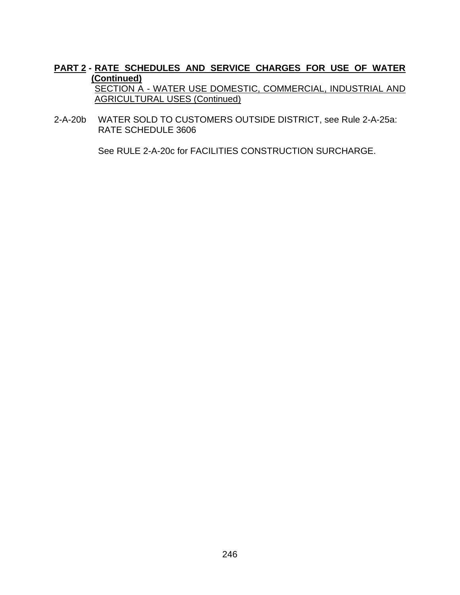2-A-20b WATER SOLD TO CUSTOMERS OUTSIDE DISTRICT, see Rule 2-A-25a: RATE SCHEDULE 3606

See RULE 2-A-20c for FACILITIES CONSTRUCTION SURCHARGE.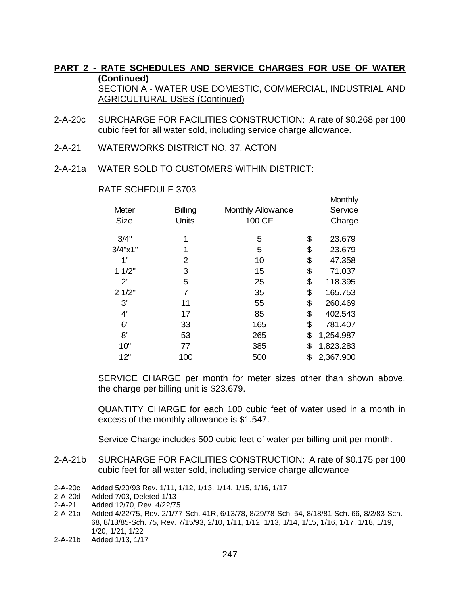- 2-A-20c SURCHARGE FOR FACILITIES CONSTRUCTION: A rate of \$0.268 per 100 cubic feet for all water sold, including service charge allowance.
- 2-A-21 WATERWORKS DISTRICT NO. 37, ACTON
- 2-A-21a WATER SOLD TO CUSTOMERS WITHIN DISTRICT:

| Meter<br>Size | <b>Billing</b><br>Units | <b>Monthly Allowance</b><br>100 CF | Monthly<br>Service<br>Charge |
|---------------|-------------------------|------------------------------------|------------------------------|
| 3/4"          | 1                       | 5                                  | \$<br>23.679                 |
| 3/4"x1"       | 1                       | 5                                  | \$<br>23.679                 |
| 1"            | 2                       | 10                                 | \$<br>47.358                 |
| 11/2"         | 3                       | 15                                 | \$<br>71.037                 |
| 2"            | 5                       | 25                                 | \$<br>118.395                |
| 21/2"         | 7                       | 35                                 | \$<br>165.753                |
| 3"            | 11                      | 55                                 | \$<br>260.469                |
| 4"            | 17                      | 85                                 | \$<br>402.543                |
| 6"            | 33                      | 165                                | \$<br>781.407                |
| 8"            | 53                      | 265                                | \$<br>1,254.987              |
| 10"           | 77                      | 385                                | \$<br>1,823.283              |
| 12"           | 100                     | 500                                | \$<br>2,367.900              |
|               |                         |                                    |                              |

#### RATE SCHEDULE 3703

SERVICE CHARGE per month for meter sizes other than shown above, the charge per billing unit is \$23.679.

QUANTITY CHARGE for each 100 cubic feet of water used in a month in excess of the monthly allowance is \$1.547.

Service Charge includes 500 cubic feet of water per billing unit per month.

- 2-A-21b SURCHARGE FOR FACILITIES CONSTRUCTION: A rate of \$0.175 per 100 cubic feet for all water sold, including service charge allowance
- 2-A-20c Added 5/20/93 Rev. 1/11, 1/12, 1/13, 1/14, 1/15, 1/16, 1/17
- 2-A-20d Added 7/03, Deleted 1/13
- 2-A-21 Added 12/70, Rev. 4/22/75
- 2-A-21a Added 4/22/75, Rev. 2/1/77-Sch. 41R, 6/13/78, 8/29/78-Sch. 54, 8/18/81-Sch. 66, 8/2/83-Sch. 68, 8/13/85-Sch. 75, Rev. 7/15/93, 2/10, 1/11, 1/12, 1/13, 1/14, 1/15, 1/16, 1/17, 1/18, 1/19, 1/20, 1/21, 1/22
- 2-A-21b Added 1/13, 1/17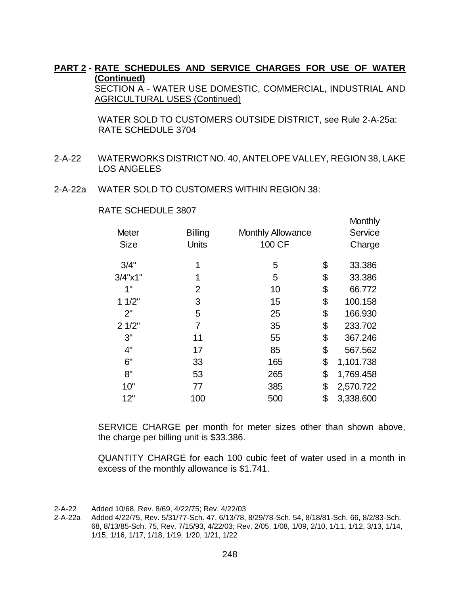SECTION A - WATER USE DOMESTIC, COMMERCIAL, INDUSTRIAL AND AGRICULTURAL USES (Continued)

WATER SOLD TO CUSTOMERS OUTSIDE DISTRICT, see Rule 2-A-25a: RATE SCHEDULE 3704

- 2-A-22 WATERWORKS DISTRICT NO. 40, ANTELOPE VALLEY, REGION 38, LAKE LOS ANGELES
- 2-A-22a WATER SOLD TO CUSTOMERS WITHIN REGION 38:

|  | RATE SCHEDULE 3807 |  |
|--|--------------------|--|
|--|--------------------|--|

|                     |                |                          | <b>Monthly</b>  |
|---------------------|----------------|--------------------------|-----------------|
| <b>Meter</b>        | <b>Billing</b> | <b>Monthly Allowance</b> | Service         |
| <b>Size</b>         | <b>Units</b>   | 100 CF                   | Charge          |
| 3/4"                | 1              | 5                        | \$<br>33.386    |
| $3/4$ " $\times$ 1" | 1              | 5                        | \$<br>33.386    |
| 1"                  | 2              | 10                       | \$<br>66.772    |
| 11/2"               | 3              | 15                       | \$<br>100.158   |
| 2"                  | 5              | 25                       | \$<br>166.930   |
| 21/2"               | $\overline{7}$ | 35                       | \$<br>233.702   |
| 3"                  | 11             | 55                       | \$<br>367.246   |
| 4"                  | 17             | 85                       | \$<br>567.562   |
| 6"                  | 33             | 165                      | \$<br>1,101.738 |
| 8"                  | 53             | 265                      | \$<br>1,769.458 |
| 10"                 | 77             | 385                      | \$<br>2,570.722 |
| 12"                 | 100            | 500                      | \$<br>3,338.600 |

SERVICE CHARGE per month for meter sizes other than shown above, the charge per billing unit is \$33.386.

QUANTITY CHARGE for each 100 cubic feet of water used in a month in excess of the monthly allowance is \$1.741.

<sup>2-</sup>A-22 Added 10/68, Rev. 8/69, 4/22/75; Rev. 4/22/03

<sup>2-</sup>A-22a Added 4/22/75, Rev. 5/31/77-Sch. 47, 6/13/78, 8/29/78-Sch. 54, 8/18/81-Sch. 66, 8/2/83-Sch. 68, 8/13/85-Sch. 75, Rev. 7/15/93, 4/22/03; Rev. 2/05, 1/08, 1/09, 2/10, 1/11, 1/12, 3/13, 1/14, 1/15, 1/16, 1/17, 1/18, 1/19, 1/20, 1/21, 1/22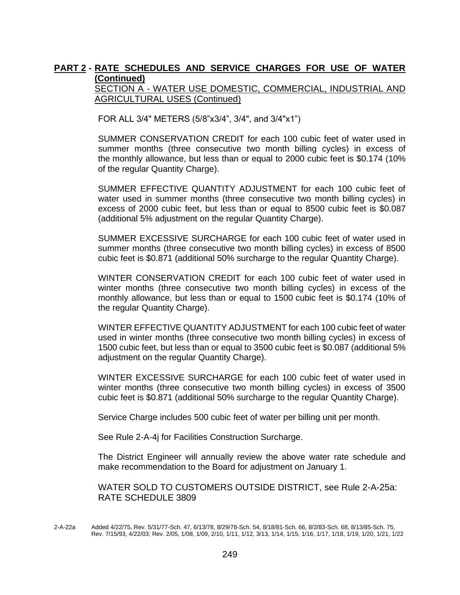SECTION A - WATER USE DOMESTIC, COMMERCIAL, INDUSTRIAL AND AGRICULTURAL USES (Continued)

FOR ALL 3/4" METERS (5/8"x3/4", 3/4", and 3/4"x1")

SUMMER CONSERVATION CREDIT for each 100 cubic feet of water used in summer months (three consecutive two month billing cycles) in excess of the monthly allowance, but less than or equal to 2000 cubic feet is \$0.174 (10% of the regular Quantity Charge).

SUMMER EFFECTIVE QUANTITY ADJUSTMENT for each 100 cubic feet of water used in summer months (three consecutive two month billing cycles) in excess of 2000 cubic feet, but less than or equal to 8500 cubic feet is \$0.087 (additional 5% adjustment on the regular Quantity Charge).

SUMMER EXCESSIVE SURCHARGE for each 100 cubic feet of water used in summer months (three consecutive two month billing cycles) in excess of 8500 cubic feet is \$0.871 (additional 50% surcharge to the regular Quantity Charge).

WINTER CONSERVATION CREDIT for each 100 cubic feet of water used in winter months (three consecutive two month billing cycles) in excess of the monthly allowance, but less than or equal to 1500 cubic feet is \$0.174 (10% of the regular Quantity Charge).

WINTER EFFECTIVE QUANTITY ADJUSTMENT for each 100 cubic feet of water used in winter months (three consecutive two month billing cycles) in excess of 1500 cubic feet, but less than or equal to 3500 cubic feet is \$0.087 (additional 5% adjustment on the regular Quantity Charge).

WINTER EXCESSIVE SURCHARGE for each 100 cubic feet of water used in winter months (three consecutive two month billing cycles) in excess of 3500 cubic feet is \$0.871 (additional 50% surcharge to the regular Quantity Charge).

Service Charge includes 500 cubic feet of water per billing unit per month.

See Rule 2-A-4j for Facilities Construction Surcharge.

The District Engineer will annually review the above water rate schedule and make recommendation to the Board for adjustment on January 1.

WATER SOLD TO CUSTOMERS OUTSIDE DISTRICT, see Rule 2-A-25a: RATE SCHEDULE 3809

<sup>2-</sup>A-22a Added 4/22/75, Rev. 5/31/77-Sch. 47, 6/13/78, 8/29/78-Sch. 54, 8/18/81-Sch. 66, 8/2/83-Sch. 68, 8/13/85-Sch. 75, Rev. 7/15/93, 4/22/03; Rev. 2/05, 1/08, 1/09, 2/10, 1/11, 1/12, 3/13, 1/14, 1/15, 1/16, 1/17, 1/18, 1/19, 1/20, 1/21, 1/22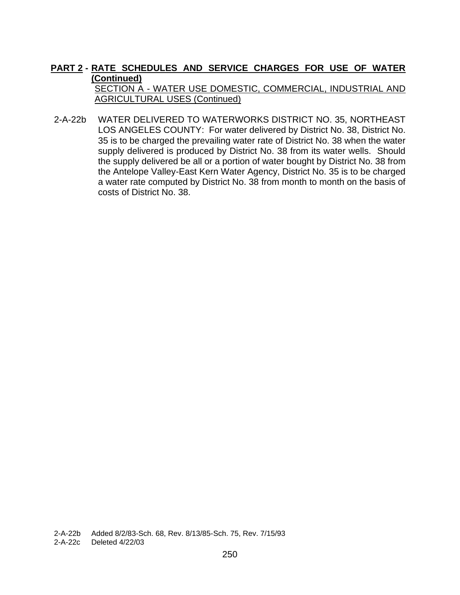SECTION A - WATER USE DOMESTIC, COMMERCIAL, INDUSTRIAL AND AGRICULTURAL USES (Continued)

2-A-22b WATER DELIVERED TO WATERWORKS DISTRICT NO. 35, NORTHEAST LOS ANGELES COUNTY: For water delivered by District No. 38, District No. 35 is to be charged the prevailing water rate of District No. 38 when the water supply delivered is produced by District No. 38 from its water wells. Should the supply delivered be all or a portion of water bought by District No. 38 from the Antelope Valley-East Kern Water Agency, District No. 35 is to be charged a water rate computed by District No. 38 from month to month on the basis of costs of District No. 38.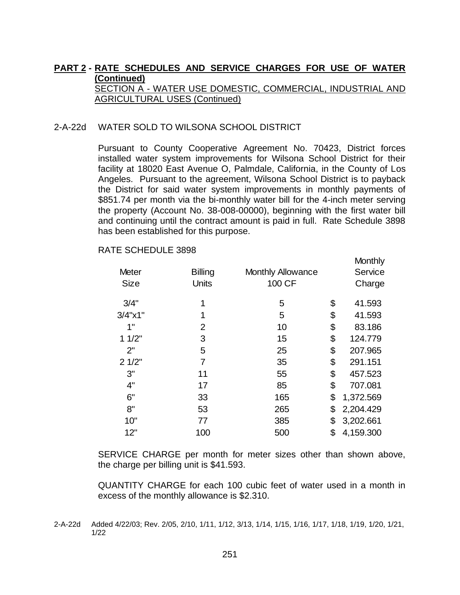#### **PART 2 - RATE SCHEDULES AND SERVICE CHARGES FOR USE OF WATER (Continued)**  SECTION A - WATER USE DOMESTIC, COMMERCIAL, INDUSTRIAL AND

AGRICULTURAL USES (Continued)

#### 2-A-22d WATER SOLD TO WILSONA SCHOOL DISTRICT

Pursuant to County Cooperative Agreement No. 70423, District forces installed water system improvements for Wilsona School District for their facility at 18020 East Avenue O, Palmdale, California, in the County of Los Angeles. Pursuant to the agreement, Wilsona School District is to payback the District for said water system improvements in monthly payments of \$851.74 per month via the bi-monthly water bill for the 4-inch meter serving the property (Account No. 38-008-00000), beginning with the first water bill and continuing until the contract amount is paid in full. Rate Schedule 3898 has been established for this purpose.

**Monthly** 

| <b>Meter</b>        | <b>Billing</b> | <b>Monthly Allowance</b> | Service         |
|---------------------|----------------|--------------------------|-----------------|
| <b>Size</b>         | <b>Units</b>   | 100 CF                   | Charge          |
| 3/4"                | 1              | 5                        | \$<br>41.593    |
| $3/4$ " $\times$ 1" | 1              | 5                        | \$<br>41.593    |
| 1"                  | 2              | 10                       | \$<br>83.186    |
| 11/2"               | 3              | 15                       | \$<br>124.779   |
| 2"                  | 5              | 25                       | \$<br>207.965   |
| 21/2"               | 7              | 35                       | \$<br>291.151   |
| 3"                  | 11             | 55                       | \$<br>457.523   |
| 4"                  | 17             | 85                       | \$<br>707.081   |
| 6"                  | 33             | 165                      | \$<br>1,372.569 |
| 8"                  | 53             | 265                      | \$<br>2,204.429 |
| 10"                 | 77             | 385                      | \$<br>3,202.661 |
| 12"                 | 100            | 500                      | \$<br>4,159.300 |

RATE SCHEDULE 3898

SERVICE CHARGE per month for meter sizes other than shown above, the charge per billing unit is \$41.593.

QUANTITY CHARGE for each 100 cubic feet of water used in a month in excess of the monthly allowance is \$2.310.

<sup>2-</sup>A-22d Added 4/22/03; Rev. 2/05, 2/10, 1/11, 1/12, 3/13, 1/14, 1/15, 1/16, 1/17, 1/18, 1/19, 1/20, 1/21, 1/22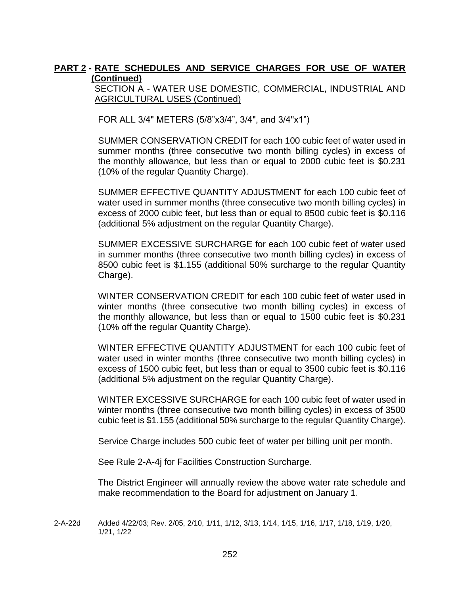#### SECTION A - WATER USE DOMESTIC, COMMERCIAL, INDUSTRIAL AND AGRICULTURAL USES (Continued)

FOR ALL 3/4" METERS (5/8"x3/4", 3/4", and 3/4"x1")

SUMMER CONSERVATION CREDIT for each 100 cubic feet of water used in summer months (three consecutive two month billing cycles) in excess of the monthly allowance, but less than or equal to 2000 cubic feet is \$0.231 (10% of the regular Quantity Charge).

SUMMER EFFECTIVE QUANTITY ADJUSTMENT for each 100 cubic feet of water used in summer months (three consecutive two month billing cycles) in excess of 2000 cubic feet, but less than or equal to 8500 cubic feet is \$0.116 (additional 5% adjustment on the regular Quantity Charge).

SUMMER EXCESSIVE SURCHARGE for each 100 cubic feet of water used in summer months (three consecutive two month billing cycles) in excess of 8500 cubic feet is \$1.155 (additional 50% surcharge to the regular Quantity Charge).

WINTER CONSERVATION CREDIT for each 100 cubic feet of water used in winter months (three consecutive two month billing cycles) in excess of the monthly allowance, but less than or equal to 1500 cubic feet is \$0.231 (10% off the regular Quantity Charge).

WINTER EFFECTIVE QUANTITY ADJUSTMENT for each 100 cubic feet of water used in winter months (three consecutive two month billing cycles) in excess of 1500 cubic feet, but less than or equal to 3500 cubic feet is \$0.116 (additional 5% adjustment on the regular Quantity Charge).

WINTER EXCESSIVE SURCHARGE for each 100 cubic feet of water used in winter months (three consecutive two month billing cycles) in excess of 3500 cubic feet is \$1.155 (additional 50% surcharge to the regular Quantity Charge).

Service Charge includes 500 cubic feet of water per billing unit per month.

See Rule 2-A-4j for Facilities Construction Surcharge.

The District Engineer will annually review the above water rate schedule and make recommendation to the Board for adjustment on January 1.

2-A-22d Added 4/22/03; Rev. 2/05, 2/10, 1/11, 1/12, 3/13, 1/14, 1/15, 1/16, 1/17, 1/18, 1/19, 1/20, 1/21, 1/22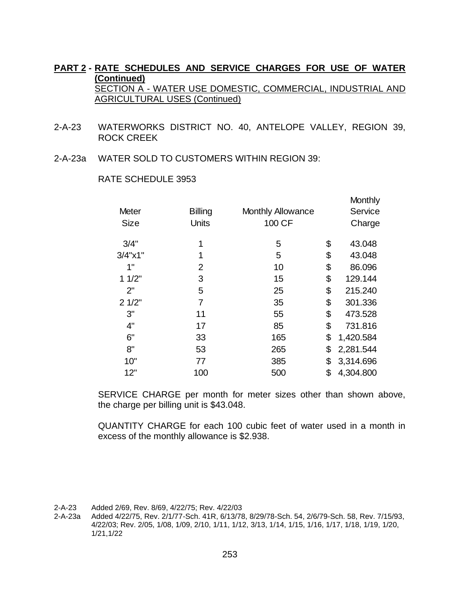- 2-A-23 WATERWORKS DISTRICT NO. 40, ANTELOPE VALLEY, REGION 39, ROCK CREEK
- 2-A-23a WATER SOLD TO CUSTOMERS WITHIN REGION 39:

|                     |                |                          | Monthly         |
|---------------------|----------------|--------------------------|-----------------|
| Meter               | <b>Billing</b> | <b>Monthly Allowance</b> | Service         |
| <b>Size</b>         | <b>Units</b>   | 100 CF                   | Charge          |
| 3/4"                | 1              | 5                        | \$<br>43.048    |
| $3/4$ " $\times$ 1" | 1              | 5                        | \$<br>43.048    |
| 1"                  | 2              | 10                       | \$<br>86.096    |
| 11/2"               | 3              | 15                       | \$<br>129.144   |
| 2"                  | 5              | 25                       | \$<br>215.240   |
| 21/2"               | $\overline{7}$ | 35                       | \$<br>301.336   |
| 3"                  | 11             | 55                       | \$<br>473.528   |
| 4"                  | 17             | 85                       | \$<br>731.816   |
| 6"                  | 33             | 165                      | \$<br>1,420.584 |
| 8"                  | 53             | 265                      | \$<br>2,281.544 |
| 10"                 | 77             | 385                      | \$<br>3,314.696 |
| 12"                 | 100            | 500                      | \$<br>4,304.800 |
|                     |                |                          |                 |

#### RATE SCHEDULE 3953

SERVICE CHARGE per month for meter sizes other than shown above, the charge per billing unit is \$43.048.

QUANTITY CHARGE for each 100 cubic feet of water used in a month in excess of the monthly allowance is \$2.938.

2-A-23 Added 2/69, Rev. 8/69, 4/22/75; Rev. 4/22/03

Added 4/22/75, Rev. 2/1/77-Sch. 41R, 6/13/78, 8/29/78-Sch. 54, 2/6/79-Sch. 58, Rev. 7/15/93, 4/22/03; Rev. 2/05, 1/08, 1/09, 2/10, 1/11, 1/12, 3/13, 1/14, 1/15, 1/16, 1/17, 1/18, 1/19, 1/20, 1/21,1/22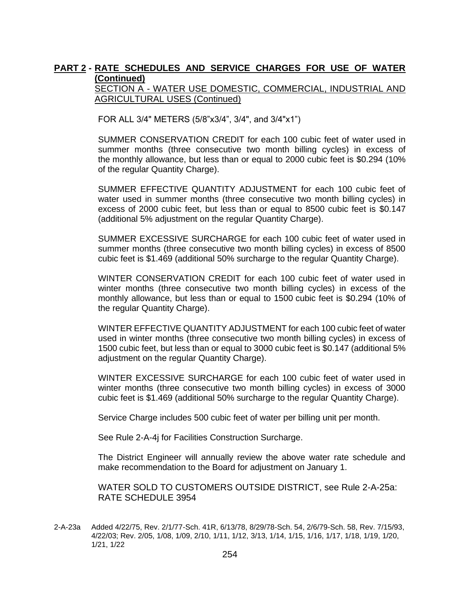SECTION A - WATER USE DOMESTIC, COMMERCIAL, INDUSTRIAL AND AGRICULTURAL USES (Continued)

FOR ALL 3/4" METERS (5/8"x3/4", 3/4", and 3/4"x1")

SUMMER CONSERVATION CREDIT for each 100 cubic feet of water used in summer months (three consecutive two month billing cycles) in excess of the monthly allowance, but less than or equal to 2000 cubic feet is \$0.294 (10% of the regular Quantity Charge).

SUMMER EFFECTIVE QUANTITY ADJUSTMENT for each 100 cubic feet of water used in summer months (three consecutive two month billing cycles) in excess of 2000 cubic feet, but less than or equal to 8500 cubic feet is \$0.147 (additional 5% adjustment on the regular Quantity Charge).

SUMMER EXCESSIVE SURCHARGE for each 100 cubic feet of water used in summer months (three consecutive two month billing cycles) in excess of 8500 cubic feet is \$1.469 (additional 50% surcharge to the regular Quantity Charge).

WINTER CONSERVATION CREDIT for each 100 cubic feet of water used in winter months (three consecutive two month billing cycles) in excess of the monthly allowance, but less than or equal to 1500 cubic feet is \$0.294 (10% of the regular Quantity Charge).

WINTER EFFECTIVE QUANTITY ADJUSTMENT for each 100 cubic feet of water used in winter months (three consecutive two month billing cycles) in excess of 1500 cubic feet, but less than or equal to 3000 cubic feet is \$0.147 (additional 5% adjustment on the regular Quantity Charge).

WINTER EXCESSIVE SURCHARGE for each 100 cubic feet of water used in winter months (three consecutive two month billing cycles) in excess of 3000 cubic feet is \$1.469 (additional 50% surcharge to the regular Quantity Charge).

Service Charge includes 500 cubic feet of water per billing unit per month.

See Rule 2-A-4j for Facilities Construction Surcharge.

The District Engineer will annually review the above water rate schedule and make recommendation to the Board for adjustment on January 1.

WATER SOLD TO CUSTOMERS OUTSIDE DISTRICT, see Rule 2-A-25a: RATE SCHEDULE 3954

2-A-23a Added 4/22/75, Rev. 2/1/77-Sch. 41R, 6/13/78, 8/29/78-Sch. 54, 2/6/79-Sch. 58, Rev. 7/15/93, 4/22/03; Rev. 2/05, 1/08, 1/09, 2/10, 1/11, 1/12, 3/13, 1/14, 1/15, 1/16, 1/17, 1/18, 1/19, 1/20, 1/21, 1/22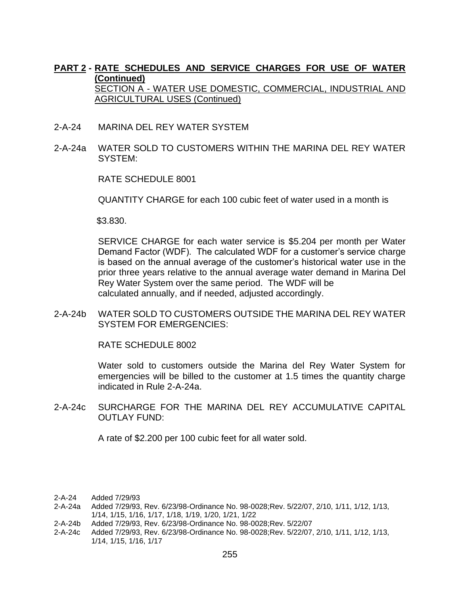- 2-A-24 MARINA DEL REY WATER SYSTEM
- 2-A-24a WATER SOLD TO CUSTOMERS WITHIN THE MARINA DEL REY WATER SYSTEM:

RATE SCHEDULE 8001

QUANTITY CHARGE for each 100 cubic feet of water used in a month is

\$3.830.

SERVICE CHARGE for each water service is \$5.204 per month per Water Demand Factor (WDF). The calculated WDF for a customer's service charge is based on the annual average of the customer's historical water use in the prior three years relative to the annual average water demand in Marina Del Rey Water System over the same period. The WDF will be calculated annually, and if needed, adjusted accordingly.

2-A-24b WATER SOLD TO CUSTOMERS OUTSIDE THE MARINA DEL REY WATER SYSTEM FOR EMERGENCIES:

RATE SCHEDULE 8002

Water sold to customers outside the Marina del Rey Water System for emergencies will be billed to the customer at 1.5 times the quantity charge indicated in Rule 2-A-24a.

2-A-24c SURCHARGE FOR THE MARINA DEL REY ACCUMULATIVE CAPITAL OUTLAY FUND:

A rate of \$2.200 per 100 cubic feet for all water sold.

2-A-24 Added 7/29/93

- 2-A-24a Added 7/29/93, Rev. 6/23/98-Ordinance No. 98-0028;Rev. 5/22/07, 2/10, 1/11, 1/12, 1/13, 1/14, 1/15, 1/16, 1/17, 1/18, 1/19, 1/20, 1/21, 1/22
- 2-A-24b Added 7/29/93, Rev. 6/23/98-Ordinance No. 98-0028;Rev. 5/22/07
- 2-A-24c Added 7/29/93, Rev. 6/23/98-Ordinance No. 98-0028;Rev. 5/22/07, 2/10, 1/11, 1/12, 1/13, 1/14, 1/15, 1/16, 1/17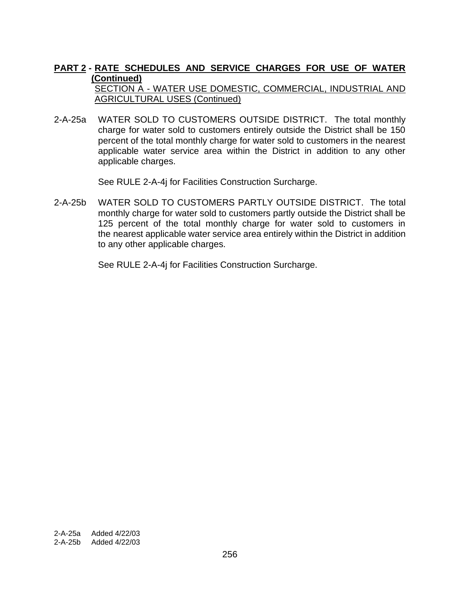SECTION A - WATER USE DOMESTIC, COMMERCIAL, INDUSTRIAL AND AGRICULTURAL USES (Continued)

2-A-25a WATER SOLD TO CUSTOMERS OUTSIDE DISTRICT. The total monthly charge for water sold to customers entirely outside the District shall be 150 percent of the total monthly charge for water sold to customers in the nearest applicable water service area within the District in addition to any other applicable charges.

See RULE 2-A-4j for Facilities Construction Surcharge.

2-A-25b WATER SOLD TO CUSTOMERS PARTLY OUTSIDE DISTRICT. The total monthly charge for water sold to customers partly outside the District shall be 125 percent of the total monthly charge for water sold to customers in the nearest applicable water service area entirely within the District in addition to any other applicable charges.

See RULE 2-A-4j for Facilities Construction Surcharge.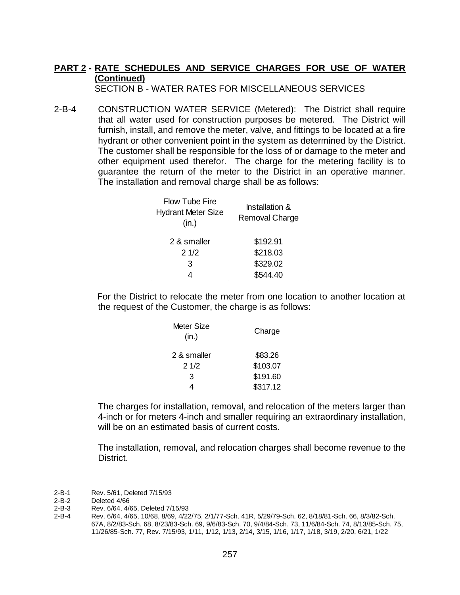### **PART 2 - RATE SCHEDULES AND SERVICE CHARGES FOR USE OF WATER (Continued)** SECTION B - WATER RATES FOR MISCELLANEOUS SERVICES

2-B-4 CONSTRUCTION WATER SERVICE (Metered): The District shall require that all water used for construction purposes be metered. The District will furnish, install, and remove the meter, valve, and fittings to be located at a fire hydrant or other convenient point in the system as determined by the District. The customer shall be responsible for the loss of or damage to the meter and other equipment used therefor. The charge for the metering facility is to guarantee the return of the meter to the District in an operative manner. The installation and removal charge shall be as follows:

| <b>Flow Tube Fire</b><br><b>Hydrant Meter Size</b><br>(in.) | <b>Installation &amp;</b><br>Removal Charge |  |  |
|-------------------------------------------------------------|---------------------------------------------|--|--|
| 2 & smaller                                                 | \$192.91                                    |  |  |
| 21/2                                                        | \$218.03                                    |  |  |
| 3                                                           | \$329.02                                    |  |  |
| 4                                                           | \$544.40                                    |  |  |
|                                                             |                                             |  |  |

For the District to relocate the meter from one location to another location at the request of the Customer, the charge is as follows:

| Meter Size<br>(in.) | Charge   |
|---------------------|----------|
| 2 & smaller         | \$83.26  |
| 21/2                | \$103.07 |
| 3                   | \$191.60 |
|                     | \$317.12 |

The charges for installation, removal, and relocation of the meters larger than 4-inch or for meters 4-inch and smaller requiring an extraordinary installation, will be on an estimated basis of current costs.

The installation, removal, and relocation charges shall become revenue to the District.

2-B-1 Rev. 5/61, Deleted 7/15/93<br>2-B-2 Deleted 4/66

- 2-B-3 Rev. 6/64, 4/65, Deleted 7/15/93
- 2-B-4 Rev. 6/64, 4/65, 10/68, 8/69, 4/22/75, 2/1/77-Sch. 41R, 5/29/79-Sch. 62, 8/18/81-Sch. 66, 8/3/82-Sch. 67A, 8/2/83-Sch. 68, 8/23/83-Sch. 69, 9/6/83-Sch. 70, 9/4/84-Sch. 73, 11/6/84-Sch. 74, 8/13/85-Sch. 75, 11/26/85-Sch. 77, Rev. 7/15/93, 1/11, 1/12, 1/13, 2/14, 3/15, 1/16, 1/17, 1/18, 3/19, 2/20, 6/21, 1/22

<sup>2-</sup>B-2 Deleted 4/66<br>2-B-3 Rev. 6/64, 4/6